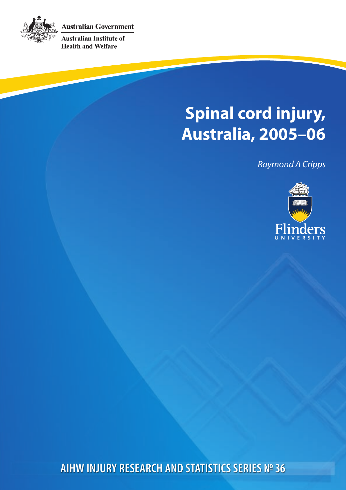**Australian Government** 



**Australian Institute of Health and Welfare** 

# **Spinal cord injury, Australia, 2005–06**

*Raymond A Cripps*



**AIHW INJURY RESEARCH AND STATISTICS SERIES № 36**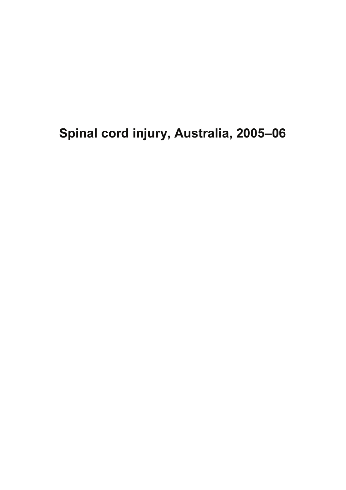**Spinal cord injury, Australia, 2005–06**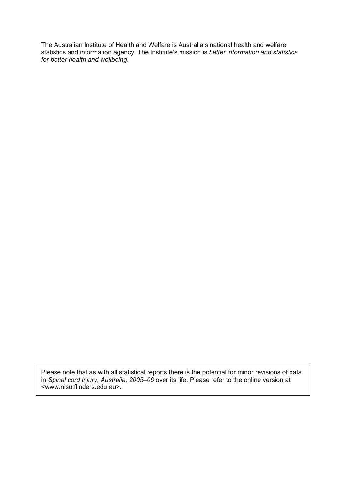The Australian Institute of Health and Welfare is Australia's national health and welfare statistics and information agency. The Institute's mission is *better information and statistics for better health and wellbeing*.

Please note that as with all statistical reports there is the potential for minor revisions of data in *Spinal cord injury, Australia, 2005–06* over its life. Please refer to the online version at <www.nisu.flinders.edu.au>.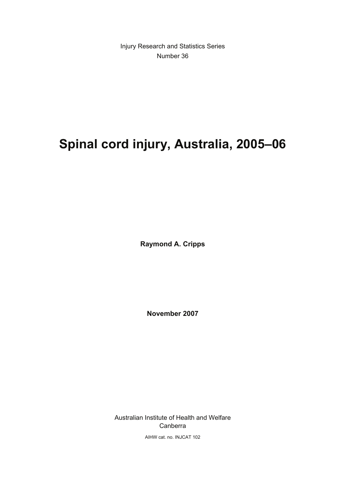Injury Research and Statistics Series Number 36

# **Spinal cord injury, Australia, 2005–06**

**Raymond A. Cripps** 

**November 2007** 

Australian Institute of Health and Welfare Canberra

AIHW cat. no. INJCAT 102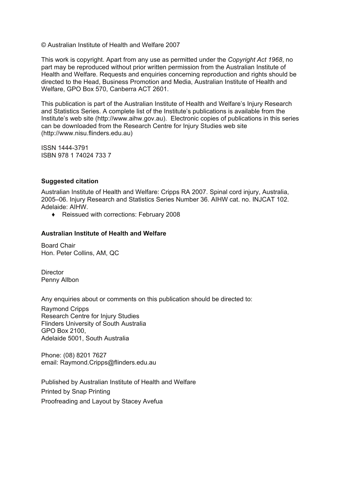© Australian Institute of Health and Welfare 2007

This work is copyright. Apart from any use as permitted under the *Copyright Act 1968*, no part may be reproduced without prior written permission from the Australian Institute of Health and Welfare. Requests and enquiries concerning reproduction and rights should be directed to the Head, Business Promotion and Media, Australian Institute of Health and Welfare, GPO Box 570, Canberra ACT 2601.

This publication is part of the Australian Institute of Health and Welfare's Injury Research and Statistics Series. A complete list of the Institute's publications is available from the Institute's web site (http://www.aihw.gov.au). Electronic copies of publications in this series can be downloaded from the Research Centre for Injury Studies web site (http://www.nisu.flinders.edu.au)

ISSN 1444-3791 ISBN 978 1 74024 733 7

#### **Suggested citation**

Australian Institute of Health and Welfare: Cripps RA 2007. Spinal cord injury, Australia, 2005–06. Injury Research and Statistics Series Number 36. AIHW cat. no. INJCAT 102. Adelaide: AIHW.

♦ Reissued with corrections: February 2008

#### **Australian Institute of Health and Welfare**

Board Chair Hon. Peter Collins, AM, QC

**Director** Penny Allbon

Any enquiries about or comments on this publication should be directed to:

Raymond Cripps Research Centre for Injury Studies Flinders University of South Australia GPO Box 2100, Adelaide 5001, South Australia

Phone: (08) 8201 7627 email: Raymond.Cripps@flinders.edu.au

Published by Australian Institute of Health and Welfare Printed by Snap Printing Proofreading and Layout by Stacey Avefua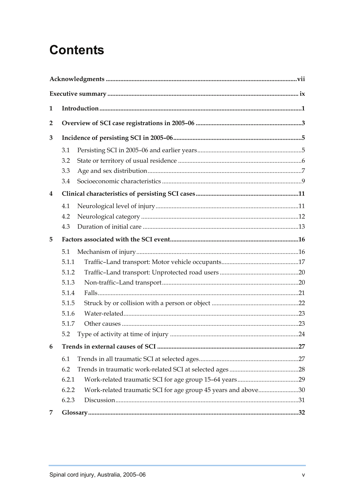# **Contents**

| 1                       |            |                                                               |  |
|-------------------------|------------|---------------------------------------------------------------|--|
| $\overline{2}$          |            |                                                               |  |
| 3                       |            |                                                               |  |
|                         |            |                                                               |  |
|                         | 3.1<br>3.2 |                                                               |  |
|                         | 3.3        |                                                               |  |
|                         | 3.4        |                                                               |  |
|                         |            |                                                               |  |
| $\overline{\mathbf{4}}$ |            |                                                               |  |
|                         | 4.1        |                                                               |  |
|                         | 4.2        |                                                               |  |
|                         | 4.3        |                                                               |  |
| 5                       |            |                                                               |  |
|                         | 5.1        |                                                               |  |
|                         | 5.1.1      |                                                               |  |
|                         | 5.1.2      |                                                               |  |
|                         | 5.1.3      |                                                               |  |
|                         | 5.1.4      |                                                               |  |
|                         | 5.1.5      |                                                               |  |
|                         | 5.1.6      |                                                               |  |
|                         | 5.1.7      |                                                               |  |
|                         | 5.2        |                                                               |  |
| 6                       |            |                                                               |  |
|                         | 6.1        |                                                               |  |
|                         | 6.2        |                                                               |  |
|                         | 6.2.1      |                                                               |  |
|                         | 6.2.2      | Work-related traumatic SCI for age group 45 years and above30 |  |
|                         | 6.2.3      |                                                               |  |
| 7                       |            |                                                               |  |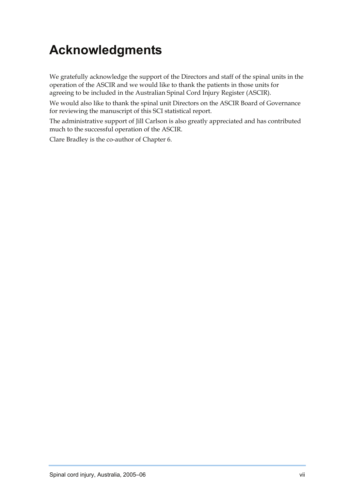# <span id="page-7-0"></span>**Acknowledgments**

We gratefully acknowledge the support of the Directors and staff of the spinal units in the operation of the ASCIR and we would like to thank the patients in those units for agreeing to be included in the Australian Spinal Cord Injury Register (ASCIR).

We would also like to thank the spinal unit Directors on the ASCIR Board of Governance for reviewing the manuscript of this SCI statistical report.

The administrative support of Jill Carlson is also greatly appreciated and has contributed much to the successful operation of the ASCIR.

Clare Bradley is the co-author of Chapter 6.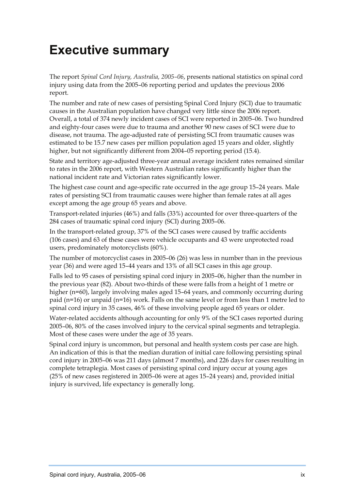## <span id="page-9-0"></span>**Executive summary**

The report *Spinal Cord Injury, Australia, 2005–06*, presents national statistics on spinal cord injury using data from the 2005–06 reporting period and updates the previous 2006 report.

The number and rate of new cases of persisting Spinal Cord Injury (SCI) due to traumatic causes in the Australian population have changed very little since the 2006 report. Overall, a total of 374 newly incident cases of SCI were reported in 2005–06. Two hundred and eighty-four cases were due to trauma and another 90 new cases of SCI were due to disease, not trauma. The age-adjusted rate of persisting SCI from traumatic causes was estimated to be 15.7 new cases per million population aged 15 years and older, slightly higher, but not significantly different from 2004–05 reporting period (15.4).

State and territory age-adjusted three-year annual average incident rates remained similar to rates in the 2006 report, with Western Australian rates significantly higher than the national incident rate and Victorian rates significantly lower.

The highest case count and age-specific rate occurred in the age group 15–24 years. Male rates of persisting SCI from traumatic causes were higher than female rates at all ages except among the age group 65 years and above.

Transport-related injuries (46%) and falls (33%) accounted for over three-quarters of the 284 cases of traumatic spinal cord injury (SCI) during 2005–06.

In the transport-related group, 37% of the SCI cases were caused by traffic accidents (106 cases) and 63 of these cases were vehicle occupants and 43 were unprotected road users, predominately motorcyclists (60%).

The number of motorcyclist cases in 2005–06 (26) was less in number than in the previous year (36) and were aged 15–44 years and 13% of all SCI cases in this age group.

Falls led to 95 cases of persisting spinal cord injury in 2005–06, higher than the number in the previous year (82). About two-thirds of these were falls from a height of 1 metre or higher (n=60), largely involving males aged 15–64 years, and commonly occurring during paid (n=16) or unpaid (n=16) work. Falls on the same level or from less than 1 metre led to spinal cord injury in 35 cases, 46% of these involving people aged 65 years or older.

Water-related accidents although accounting for only 9% of the SCI cases reported during 2005–06, 80% of the cases involved injury to the cervical spinal segments and tetraplegia. Most of these cases were under the age of 35 years.

Spinal cord injury is uncommon, but personal and health system costs per case are high. An indication of this is that the median duration of initial care following persisting spinal cord injury in 2005–06 was 211 days (almost 7 months), and 226 days for cases resulting in complete tetraplegia. Most cases of persisting spinal cord injury occur at young ages (25% of new cases registered in 2005–06 were at ages 15–24 years) and, provided initial injury is survived, life expectancy is generally long.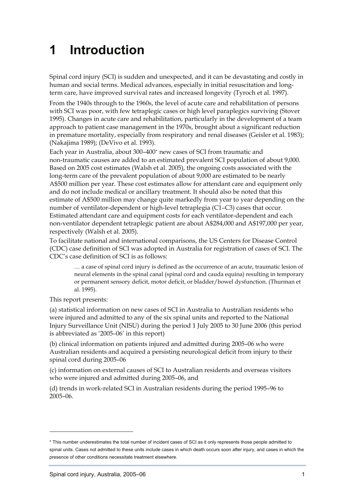# <span id="page-11-0"></span>**1 Introduction**

Spinal cord injury (SCI) is sudden and unexpected, and it can be devastating and costly in human and social terms. Medical advances, especially in initial resuscitation and longterm care, have improved survival rates and increased longevity (Tyroch et al. 1997).

From the 1940s through to the 1960s, the level of acute care and rehabilitation of persons with SCI was poor, with few tetraplegic cases or high level paraplegics surviving (Stover 1995). Changes in acute care and rehabilitation, particularly in the development of a team approach to patient case management in the 1970s, brought about a significant reduction in premature mortality, especially from respiratory and renal diseases (Geisler et al. 1983); (Nakajima 1989); (DeVivo et al. 1993).

Each year in Australia, about 300–400[\\*](#page-11-1) new cases of SCI from traumatic and non-traumatic causes are added to an estimated prevalent SCI population of about 9,000. Based on 2005 cost estimates (Walsh et al. 2005), the ongoing costs associated with the long-term care of the prevalent population of about 9,000 are estimated to be nearly A\$500 million per year. These cost estimates allow for attendant care and equipment only and do not include medical or ancillary treatment. It should also be noted that this estimate of A\$500 million may change quite markedly from year to year depending on the number of ventilator-dependent or high-level tetraplegia (C1–C3) cases that occur. Estimated attendant care and equipment costs for each ventilator-dependent and each non-ventilator dependent tetraplegic patient are about A\$284,000 and A\$197,000 per year, respectively (Walsh et al. 2005).

To facilitate national and international comparisons, the US Centers for Disease Control (CDC) case definition of SCI was adopted in Australia for registration of cases of SCI. The CDC's case definition of SCI is as follows:

… a case of spinal cord injury is defined as the occurrence of an acute, traumatic lesion of neural elements in the spinal canal (spinal cord and cauda equina) resulting in temporary or permanent sensory deficit, motor deficit, or bladder/bowel dysfunction. (Thurman et al. 1995).

This report presents:

 $\overline{a}$ 

(a) statistical information on new cases of SCI in Australia to Australian residents who were injured and admitted to any of the six spinal units and reported to the National Injury Surveillance Unit (NISU) during the period 1 July 2005 to 30 June 2006 (this period is abbreviated as '2005–06' in this report)

(b) clinical information on patients injured and admitted during 2005–06 who were Australian residents and acquired a persisting neurological deficit from injury to their spinal cord during 2005–06

(c) information on external causes of SCI to Australian residents and overseas visitors who were injured and admitted during 2005–06, and

(d) trends in work-related SCI in Australian residents during the period 1995–96 to 2005–06.

<span id="page-11-1"></span><sup>\*</sup> This number underestimates the total number of incident cases of SCI as it only represents those people admitted to spinal units. Cases not admitted to these units include cases in which death occurs soon after injury, and cases in which the presence of other conditions necessitate treatment elsewhere.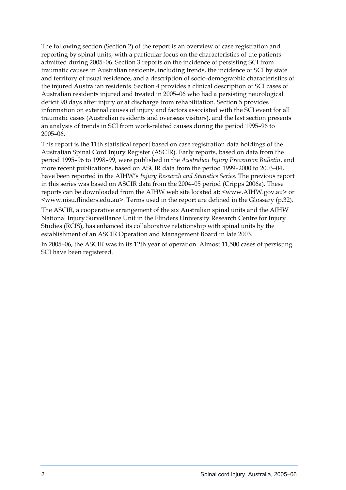The following section (Section 2) of the report is an overview of case registration and reporting by spinal units, with a particular focus on the characteristics of the patients admitted during 2005–06. Section 3 reports on the incidence of persisting SCI from traumatic causes in Australian residents, including trends, the incidence of SCI by state and territory of usual residence, and a description of socio-demographic characteristics of the injured Australian residents. Section 4 provides a clinical description of SCI cases of Australian residents injured and treated in 2005–06 who had a persisting neurological deficit 90 days after injury or at discharge from rehabilitation. Section 5 provides information on external causes of injury and factors associated with the SCI event for all traumatic cases (Australian residents and overseas visitors), and the last section presents an analysis of trends in SCI from work-related causes during the period 1995–96 to 2005–06.

This report is the 11th statistical report based on case registration data holdings of the Australian Spinal Cord Injury Register (ASCIR). Early reports, based on data from the period 1995–96 to 1998–99, were published in the *Australian Injury Prevention Bulletin*, and more recent publications, based on ASCIR data from the period 1999–2000 to 2003–04, have been reported in the AIHW's *Injury Research and Statistics Series*. The previous report in this series was based on ASCIR data from the 2004–05 period (Cripps 2006a). These reports can be downloaded from the AIHW web site located at: [<www.AIHW.gov.au>](http://www.aihw.gov.au/) or <[www.nisu.flinders.edu.au](http://www.nisu.flinders.edu.au/)>. Terms used in the report are defined in the Glossary (p.32).

The ASCIR, a cooperative arrangement of the six Australian spinal units and the AIHW National Injury Surveillance Unit in the Flinders University Research Centre for Injury Studies (RCIS), has enhanced its collaborative relationship with spinal units by the establishment of an ASCIR Operation and Management Board in late 2003.

In 2005–06, the ASCIR was in its 12th year of operation. Almost 11,500 cases of persisting SCI have been registered.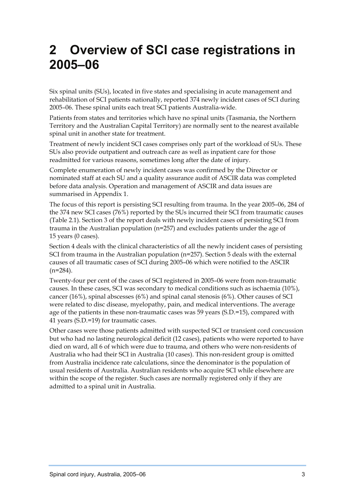### <span id="page-13-0"></span>**2 Overview of SCI case registrations in 2005–06**

Six spinal units (SUs), located in five states and specialising in acute management and rehabilitation of SCI patients nationally, reported 374 newly incident cases of SCI during 2005–06. These spinal units each treat SCI patients Australia-wide.

Patients from states and territories which have no spinal units (Tasmania, the Northern Territory and the Australian Capital Territory) are normally sent to the nearest available spinal unit in another state for treatment.

Treatment of newly incident SCI cases comprises only part of the workload of SUs. These SUs also provide outpatient and outreach care as well as inpatient care for those readmitted for various reasons, sometimes long after the date of injury.

Complete enumeration of newly incident cases was confirmed by the Director or nominated staff at each SU and a quality assurance audit of ASCIR data was completed before data analysis. Operation and management of ASCIR and data issues are summarised in Appendix 1.

The focus of this report is persisting SCI resulting from trauma. In the year 2005–06, 284 of the 374 new SCI cases (76%) reported by the SUs incurred their SCI from traumatic causes (Table 2.1). Section 3 of the report deals with newly incident cases of persisting SCI from trauma in the Australian population (n=257) and excludes patients under the age of 15 years (0 cases).

Section 4 deals with the clinical characteristics of all the newly incident cases of persisting SCI from trauma in the Australian population (n=257). Section 5 deals with the external causes of all traumatic cases of SCI during 2005–06 which were notified to the ASCIR  $(n=284)$ .

Twenty-four per cent of the cases of SCI registered in 2005–06 were from non-traumatic causes. In these cases, SCI was secondary to medical conditions such as ischaemia (10%), cancer (16%), spinal abscesses (6%) and spinal canal stenosis (6%). Other causes of SCI were related to disc disease, myelopathy, pain, and medical interventions. The average age of the patients in these non-traumatic cases was 59 years (S.D.=15), compared with 41 years (S.D.=19) for traumatic cases.

Other cases were those patients admitted with suspected SCI or transient cord concussion but who had no lasting neurological deficit (12 cases), patients who were reported to have died on ward, all 6 of which were due to trauma, and others who were non-residents of Australia who had their SCI in Australia (10 cases). This non-resident group is omitted from Australia incidence rate calculations, since the denominator is the population of usual residents of Australia. Australian residents who acquire SCI while elsewhere are within the scope of the register. Such cases are normally registered only if they are admitted to a spinal unit in Australia.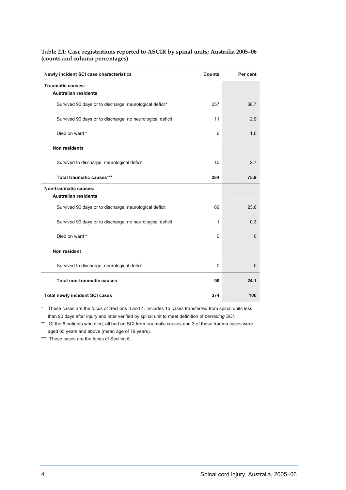| Newly incident SCI case characteristics                   | Counts | Per cent     |
|-----------------------------------------------------------|--------|--------------|
| <b>Traumatic causes:</b><br><b>Australian residents</b>   |        |              |
| Survived 90 days or to discharge, neurological deficit*   | 257    | 68.7         |
| Survived 90 days or to discharge, no neurological deficit | 11     | 2.9          |
| Died on ward**                                            | 6      | 1.6          |
| <b>Non residents</b>                                      |        |              |
| Survived to discharge, neurological deficit               | 10     | 2.7          |
| Total traumatic causes***                                 | 284    | 75.9         |
| <b>Non-traumatic causes:</b>                              |        |              |
| <b>Australian residents</b>                               |        |              |
| Survived 90 days or to discharge, neurological deficit    | 89     | 23.8         |
| Survived 90 days or to discharge, no neurological deficit | 1      | 0.3          |
| Died on ward**                                            | 0      | $\Omega$     |
| Non resident                                              |        |              |
| Survived to discharge, neurological deficit               | 0      | $\mathbf{0}$ |
| <b>Total non-traumatic causes</b>                         | 90     | 24.1         |
| <b>Total newly incident SCI cases</b>                     | 374    | 100          |

#### <span id="page-14-0"></span>**Table 2.1: Case registrations reported to ASCIR by spinal units; Australia 2005–06 (counts and column percentages)**

\* These cases are the focus of Sections 3 and 4. Includes 15 cases transferred from spinal units less than 90 days after injury and later verified by spinal unit to meet definition of *persisting SCI*.

\*\* Of the 6 patients who died, all had an SCI from traumatic causes and 3 of these trauma cases were aged 65 years and above (mean age of 79 years).

\*\*\* These cases are the focus of Section 5.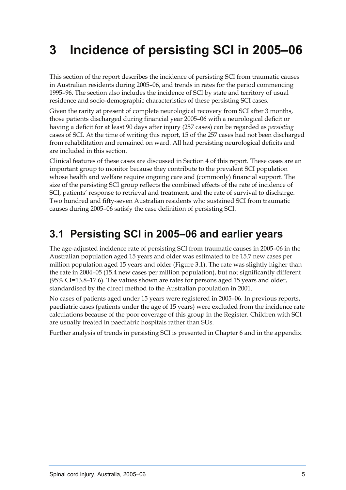# <span id="page-15-0"></span>**3 Incidence of persisting SCI in 2005–06**

This section of the report describes the incidence of persisting SCI from traumatic causes in Australian residents during 2005–06, and trends in rates for the period commencing 1995–96. The section also includes the incidence of SCI by state and territory of usual residence and socio-demographic characteristics of these persisting SCI cases.

Given the rarity at present of complete neurological recovery from SCI after 3 months, those patients discharged during financial year 2005–06 with a neurological deficit or having a deficit for at least 90 days after injury (257 cases) can be regarded as *persisting* cases of SCI. At the time of writing this report, 15 of the 257 cases had not been discharged from rehabilitation and remained on ward. All had persisting neurological deficits and are included in this section.

Clinical features of these cases are discussed in Section 4 of this report. These cases are an important group to monitor because they contribute to the prevalent SCI population whose health and welfare require ongoing care and (commonly) financial support. The size of the persisting SCI group reflects the combined effects of the rate of incidence of SCI, patients' response to retrieval and treatment, and the rate of survival to discharge. Two hundred and fifty-seven Australian residents who sustained SCI from traumatic causes during 2005–06 satisfy the case definition of persisting SCI.

### **3.1 Persisting SCI in 2005–06 and earlier years**

The age-adjusted incidence rate of persisting SCI from traumatic causes in 2005–06 in the Australian population aged 15 years and older was estimated to be 15.7 new cases per million population aged 15 years and older (Figure 3.1). The rate was slightly higher than the rate in 2004–05 (15.4 new cases per million population), but not significantly different (95% CI=13.8–17.6). The values shown are rates for persons aged 15 years and older, standardised by the direct method to the Australian population in 2001.

No cases of patients aged under 15 years were registered in 2005–06. In previous reports, paediatric cases (patients under the age of 15 years) were excluded from the incidence rate calculations because of the poor coverage of this group in the Register. Children with SCI are usually treated in paediatric hospitals rather than SUs.

Further analysis of trends in persisting SCI is presented in Chapter 6 and in the appendix.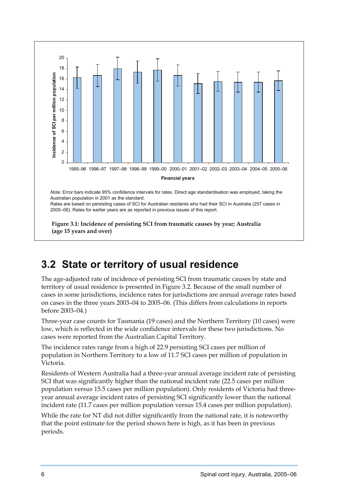<span id="page-16-0"></span>

### **3.2 State or territory of usual residence**

The age-adjusted rate of incidence of persisting SCI from traumatic causes by state and territory of usual residence is presented in Figure 3.2. Because of the small number of cases in some jurisdictions, incidence rates for jurisdictions are annual average rates based on cases in the three years 2003–04 to 2005–06. (This differs from calculations in reports before 2003–04.)

Three-year case counts for Tasmania (19 cases) and the Northern Territory (10 cases) were low, which is reflected in the wide confidence intervals for these two jurisdictions. No cases were reported from the Australian Capital Territory.

The incidence rates range from a high of 22.9 persisting SCI cases per million of population in Northern Territory to a low of 11.7 SCI cases per million of population in Victoria.

Residents of Western Australia had a three-year annual average incident rate of persisting SCI that was significantly higher than the national incident rate (22.5 cases per million population versus 15.5 cases per million population). Only residents of Victoria had threeyear annual average incident rates of persisting SCI significantly lower than the national incident rate (11.7 cases per million population versus 15.4 cases per million population).

While the rate for NT did not differ significantly from the national rate, it is noteworthy that the point estimate for the period shown here is high, as it has been in previous periods.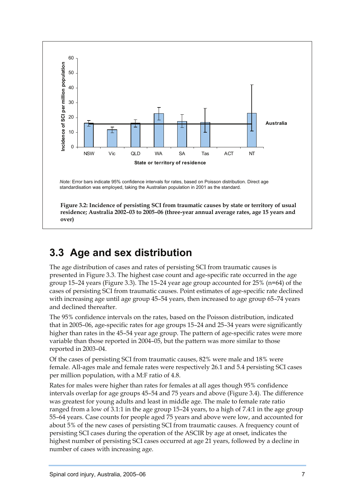<span id="page-17-0"></span>

### **3.3 Age and sex distribution**

The age distribution of cases and rates of persisting SCI from traumatic causes is presented in Figure 3.3. The highest case count and age-specific rate occurred in the age group 15–24 years (Figure 3.3). The 15–24 year age group accounted for 25% (n=64) of the cases of persisting SCI from traumatic causes. Point estimates of age-specific rate declined with increasing age until age group 45–54 years, then increased to age group 65–74 years and declined thereafter.

The 95% confidence intervals on the rates, based on the Poisson distribution, indicated that in 2005–06, age-specific rates for age groups 15–24 and 25–34 years were significantly higher than rates in the 45–54 year age group. The pattern of age-specific rates were more variable than those reported in 2004–05, but the pattern was more similar to those reported in 2003–04.

Of the cases of persisting SCI from traumatic causes, 82% were male and 18% were female. All-ages male and female rates were respectively 26.1 and 5.4 persisting SCI cases per million population, with a M:F ratio of 4.8.

Rates for males were higher than rates for females at all ages though 95% confidence intervals overlap for age groups 45–54 and 75 years and above (Figure 3.4). The difference was greatest for young adults and least in middle age. The male to female rate ratio ranged from a low of 3.1:1 in the age group 15–24 years, to a high of 7.4:1 in the age group 55–64 years. Case counts for people aged 75 years and above were low, and accounted for about 5% of the new cases of persisting SCI from traumatic causes. A frequency count of persisting SCI cases during the operation of the ASCIR by age at onset, indicates the highest number of persisting SCI cases occurred at age 21 years, followed by a decline in number of cases with increasing age.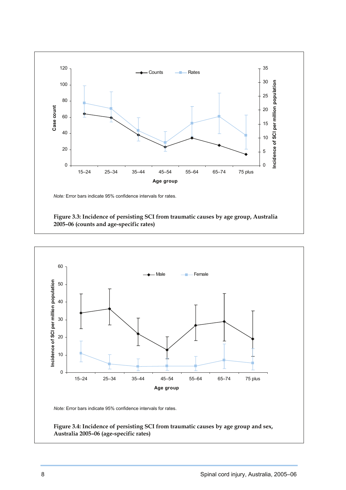<span id="page-18-0"></span>

 **Figure 3.3: Incidence of persisting SCI from traumatic causes by age group, Australia 2005–06 (counts and age-specific rates)**

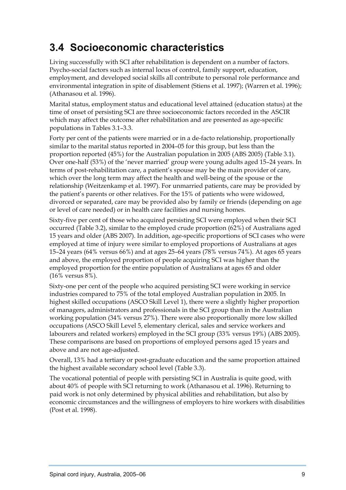### <span id="page-19-0"></span>**3.4 Socioeconomic characteristics**

Living successfully with SCI after rehabilitation is dependent on a number of factors. Psycho-social factors such as internal locus of control, family support, education, employment, and developed social skills all contribute to personal role performance and environmental integration in spite of disablement (Stiens et al. 1997); (Warren et al. 1996); (Athanasou et al. 1996).

Marital status, employment status and educational level attained (education status) at the time of onset of persisting SCI are three socioeconomic factors recorded in the ASCIR which may affect the outcome after rehabilitation and are presented as age-specific populations in Tables 3.1–3.3.

Forty per cent of the patients were married or in a de-facto relationship, proportionally similar to the marital status reported in 2004–05 for this group, but less than the proportion reported (45%) for the Australian population in 2005 (ABS 2005) (Table 3.1). Over one-half (53%) of the 'never married' group were young adults aged 15–24 years. In terms of post-rehabilitation care, a patient's spouse may be the main provider of care, which over the long term may affect the health and well-being of the spouse or the relationship (Weitzenkamp et al. 1997). For unmarried patients, care may be provided by the patient's parents or other relatives. For the 15% of patients who were widowed, divorced or separated, care may be provided also by family or friends (depending on age or level of care needed) or in health care facilities and nursing homes.

Sixty-five per cent of those who acquired persisting SCI were employed when their SCI occurred (Table 3.2), similar to the employed crude proportion (62%) of Australians aged 15 years and older (ABS 2007). In addition, age-specific proportions of SCI cases who were employed at time of injury were similar to employed proportions of Australians at ages 15–24 years (64% versus 66%) and at ages 25–64 years (78% versus 74%). At ages 65 years and above, the employed proportion of people acquiring SCI was higher than the employed proportion for the entire population of Australians at ages 65 and older (16% versus 8%).

Sixty-one per cent of the people who acquired persisting SCI were working in service industries compared to 75% of the total employed Australian population in 2005. In highest skilled occupations (ASCO Skill Level 1), there were a slightly higher proportion of managers, administrators and professionals in the SCI group than in the Australian working population (34% versus 27%). There were also proportionally more low skilled occupations (ASCO Skill Level 5, elementary clerical, sales and service workers and labourers and related workers) employed in the SCI group (33% versus 19%) (ABS 2005). These comparisons are based on proportions of employed persons aged 15 years and above and are not age-adjusted.

Overall, 13% had a tertiary or post-graduate education and the same proportion attained the highest available secondary school level (Table 3.3).

The vocational potential of people with persisting SCI in Australia is quite good, with about 40% of people with SCI returning to work (Athanasou et al. 1996). Returning to paid work is not only determined by physical abilities and rehabilitation, but also by economic circumstances and the willingness of employers to hire workers with disabilities (Post et al. 1998).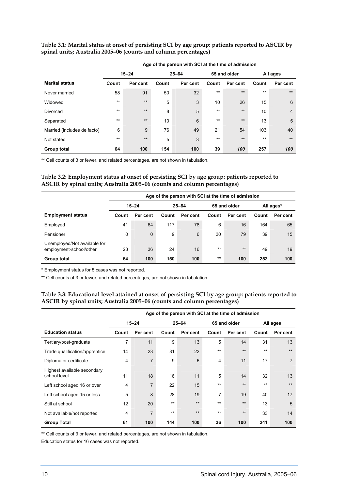|                             | Age of the person with SCI at the time of admission |          |       |           |       |              |          |                |  |
|-----------------------------|-----------------------------------------------------|----------|-------|-----------|-------|--------------|----------|----------------|--|
|                             | $15 - 24$                                           |          |       | $25 - 64$ |       | 65 and older | All ages |                |  |
| <b>Marital status</b>       | Count                                               | Per cent | Count | Per cent  | Count | Per cent     | Count    | Per cent       |  |
| Never married               | 58                                                  | 91       | 50    | 32        | $**$  | $**$         | $**$     | $**$           |  |
| Widowed                     | $***$                                               | $**$     | 5     | 3         | 10    | 26           | 15       | 6              |  |
| Divorced                    | $***$                                               | $**$     | 8     | 5         | $**$  | $**$         | 10       | $\overline{4}$ |  |
| Separated                   | $***$                                               | $**$     | 10    | 6         | $***$ | $**$         | 13       | 5              |  |
| Married (includes de facto) | 6                                                   | 9        | 76    | 49        | 21    | 54           | 103      | 40             |  |
| Not stated                  | $***$                                               | $**$     | 5     | 3         | $**$  | $**$         | $**$     | $**$           |  |
| Group total                 | 64                                                  | 100      | 154   | 100       | 39    | 100          | 257      | 100            |  |

<span id="page-20-0"></span>**Table 3.1: Marital status at onset of persisting SCI by age group: patients reported to ASCIR by spinal units; Australia 2005–06 (counts and column percentages)** 

\*\* Cell counts of 3 or fewer, and related percentages, are not shown in tabulation.

#### **Table 3.2: Employment status at onset of persisting SCI by age group: patients reported to ASCIR by spinal units; Australia 2005–06 (counts and column percentages)**

|                                                         | Age of the person with SCI at the time of admission |              |           |          |              |          |           |          |  |
|---------------------------------------------------------|-----------------------------------------------------|--------------|-----------|----------|--------------|----------|-----------|----------|--|
|                                                         |                                                     | $15 - 24$    | $25 - 64$ |          | 65 and older |          | All ages* |          |  |
| <b>Employment status</b>                                | Count                                               | Per cent     | Count     | Per cent | Count        | Per cent | Count     | Per cent |  |
| Employed                                                | 41                                                  | 64           | 117       | 78       | 6            | 16       | 164       | 65       |  |
| Pensioner                                               | 0                                                   | $\mathbf{0}$ | 9         | 6        | 30           | 79       | 39        | 15       |  |
| Unemployed/Not available for<br>employment-school/other | 23                                                  | 36           | 24        | 16       | $***$        | $**$     | 49        | 19       |  |
| Group total                                             | 64                                                  | 100          | 150       | 100      | $***$        | 100      | 252       | 100      |  |

\* Employment status for 5 cases was not reported.

\*\* Cell counts of 3 or fewer, and related percentages, are not shown in tabulation.

#### **Table 3.3: Educational level attained at onset of persisting SCI by age group: patients reported to ASCIR by spinal units; Australia 2005–06 (counts and column percentages)**

|                                             | Age of the person with SCI at the time of admission |                |       |           |       |              |       |                |  |
|---------------------------------------------|-----------------------------------------------------|----------------|-------|-----------|-------|--------------|-------|----------------|--|
|                                             |                                                     | $15 - 24$      |       | $25 - 64$ |       | 65 and older |       | All ages       |  |
| <b>Education status</b>                     | Count                                               | Per cent       | Count | Per cent  | Count | Per cent     | Count | Per cent       |  |
| Tertiary/post-graduate                      | 7                                                   | 11             | 19    | 13        | 5     | 14           | 31    | 13             |  |
| Trade qualification/apprentice              | 14                                                  | 23             | 31    | 22        | $***$ | $**$         | $***$ | $***$          |  |
| Diploma or certificate                      | 4                                                   | $\overline{7}$ | 9     | 6         | 4     | 11           | 17    | $\overline{7}$ |  |
| Highest available secondary<br>school level | 11                                                  | 18             | 16    | 11        | 5     | 14           | 32    | 13             |  |
| Left school aged 16 or over                 | 4                                                   | $\overline{7}$ | 22    | 15        | $***$ | $**$         | $***$ | $***$          |  |
| Left school aged 15 or less                 | 5                                                   | 8              | 28    | 19        | 7     | 19           | 40    | 17             |  |
| Still at school                             | 12 <sup>2</sup>                                     | 20             | $***$ | $**$      | $**$  | $**$         | 13    | 5              |  |
| Not available/not reported                  | 4                                                   | $\overline{7}$ | $***$ | $**$      | $***$ | $**$         | 33    | 14             |  |
| <b>Group Total</b>                          | 61                                                  | 100            | 144   | 100       | 36    | 100          | 241   | 100            |  |

\*\* Cell counts of 3 or fewer, and related percentages, are not shown in tabulation.

Education status for 16 cases was not reported.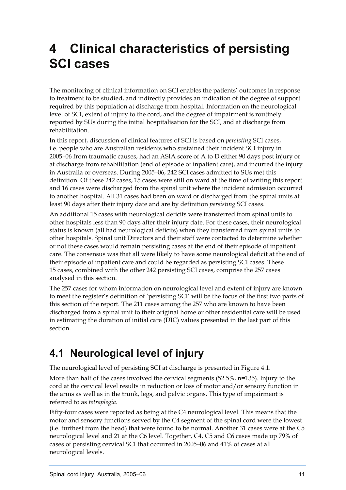# <span id="page-21-0"></span>**4 Clinical characteristics of persisting SCI cases**

The monitoring of clinical information on SCI enables the patients' outcomes in response to treatment to be studied, and indirectly provides an indication of the degree of support required by this population at discharge from hospital. Information on the neurological level of SCI, extent of injury to the cord, and the degree of impairment is routinely reported by SUs during the initial hospitalisation for the SCI, and at discharge from rehabilitation.

In this report, discussion of clinical features of SCI is based on *persisting* SCI cases, i.e. people who are Australian residents who sustained their incident SCI injury in 2005–06 from traumatic causes, had an ASIA score of A to D either 90 days post injury or at discharge from rehabilitation (end of episode of inpatient care), and incurred the injury in Australia or overseas. During 2005–06, 242 SCI cases admitted to SUs met this definition. Of these 242 cases, 15 cases were still on ward at the time of writing this report and 16 cases were discharged from the spinal unit where the incident admission occurred to another hospital. All 31 cases had been on ward or discharged from the spinal units at least 90 days after their injury date and are by definition *persisting* SCI cases.

An additional 15 cases with neurological deficits were transferred from spinal units to other hospitals less than 90 days after their injury date. For these cases, their neurological status is known (all had neurological deficits) when they transferred from spinal units to other hospitals. Spinal unit Directors and their staff were contacted to determine whether or not these cases would remain persisting cases at the end of their episode of inpatient care. The consensus was that all were likely to have some neurological deficit at the end of their episode of inpatient care and could be regarded as persisting SCI cases. These 15 cases, combined with the other 242 persisting SCI cases, comprise the 257 cases analysed in this section.

The 257 cases for whom information on neurological level and extent of injury are known to meet the register's definition of 'persisting SCI' will be the focus of the first two parts of this section of the report. The 211 cases among the 257 who are known to have been discharged from a spinal unit to their original home or other residential care will be used in estimating the duration of initial care (DIC) values presented in the last part of this section.

### **4.1 Neurological level of injury**

The neurological level of persisting SCI at discharge is presented in Figure 4.1.

More than half of the cases involved the cervical segments (52.5%, n=135). Injury to the cord at the cervical level results in reduction or loss of motor and/or sensory function in the arms as well as in the trunk, legs, and pelvic organs. This type of impairment is referred to as *tetraplegia*.

Fifty-four cases were reported as being at the C4 neurological level. This means that the motor and sensory functions served by the C4 segment of the spinal cord were the lowest (i.e. furthest from the head) that were found to be normal. Another 31 cases were at the C5 neurological level and 21 at the C6 level. Together, C4, C5 and C6 cases made up 79% of cases of persisting cervical SCI that occurred in 2005–06 and 41% of cases at all neurological levels.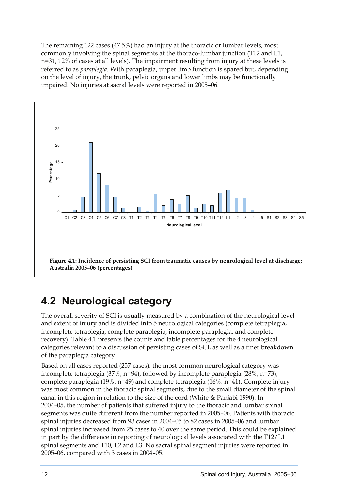<span id="page-22-0"></span>The remaining 122 cases (47.5%) had an injury at the thoracic or lumbar levels, most commonly involving the spinal segments at the thoraco-lumbar junction (T12 and L1, n=31, 12% of cases at all levels). The impairment resulting from injury at these levels is referred to as *paraplegia*. With paraplegia, upper limb function is spared but, depending on the level of injury, the trunk, pelvic organs and lower limbs may be functionally impaired. No injuries at sacral levels were reported in 2005–06.



### **4.2 Neurological category**

The overall severity of SCI is usually measured by a combination of the neurological level and extent of injury and is divided into 5 neurological categories (complete tetraplegia, incomplete tetraplegia, complete paraplegia, incomplete paraplegia, and complete recovery). Table 4.1 presents the counts and table percentages for the 4 neurological categories relevant to a discussion of persisting cases of SCI, as well as a finer breakdown of the paraplegia category.

Based on all cases reported (257 cases), the most common neurological category was incomplete tetraplegia (37%, n=94), followed by incomplete paraplegia (28%, n=73), complete paraplegia (19%, n=49) and complete tetraplegia (16%, n=41). Complete injury was most common in the thoracic spinal segments, due to the small diameter of the spinal canal in this region in relation to the size of the cord (White & Panjabi 1990). In 2004–05, the number of patients that suffered injury to the thoracic and lumbar spinal segments was quite different from the number reported in 2005–06. Patients with thoracic spinal injuries decreased from 93 cases in 2004–05 to 82 cases in 2005–06 and lumbar spinal injuries increased from 25 cases to 40 over the same period. This could be explained in part by the difference in reporting of neurological levels associated with the T12/L1 spinal segments and T10, L2 and L3. No sacral spinal segment injuries were reported in 2005–06, compared with 3 cases in 2004–05.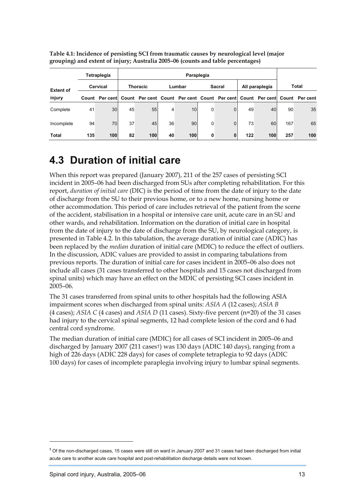|                  | Tetraplegia<br>Paraplegia |     |                 |                                                                                     |        |     |               |              |                |     |       |     |
|------------------|---------------------------|-----|-----------------|-------------------------------------------------------------------------------------|--------|-----|---------------|--------------|----------------|-----|-------|-----|
| <b>Extent of</b> | Cervical                  |     | <b>Thoracic</b> |                                                                                     | Lumbar |     | <b>Sacral</b> |              | All paraplegia |     | Total |     |
| injury           | Count                     |     |                 | Per cent Count Per cent Count Per cent Count Per cent Count Per cent Count Per cent |        |     |               |              |                |     |       |     |
| Complete         | 41                        | 30  | 45              | 55                                                                                  | 4      | 10  | 0             | $\mathbf{0}$ | 49             | 40  | 90    | 35  |
| Incomplete       | 94                        | 70  | 37              | 45                                                                                  | 36     | 90  | 0             | $\Omega$     | 73             | 60  | 167   | 65  |
| <b>Total</b>     | 135                       | 100 | 82              | 100                                                                                 | 40     | 100 | 0             | $\mathbf{0}$ | 122            | 100 | 257   | 100 |

<span id="page-23-0"></span>**Table 4.1: Incidence of persisting SCI from traumatic causes by neurological level (major grouping) and extent of injury; Australia 2005–06 (counts and table percentages)** 

### **4.3 Duration of initial care**

When this report was prepared (January 2007), 211 of the 257 cases of persisting SCI incident in 2005–06 had been discharged from SUs after completing rehabilitation. For this report, *duration of initial care* (DIC) is the period of time from the date of injury to the date of discharge from the SU to their previous home, or to a new home, nursing home or other accommodation. This period of care includes retrieval of the patient from the scene of the accident, stabilisation in a hospital or intensive care unit, acute care in an SU and other wards, and rehabilitation. Information on the duration of initial care in hospital from the date of injury to the date of discharge from the SU, by neurological category, is presented in Table 4.2. In this tabulation, the average duration of initial care (ADIC) has been replaced by the *median* duration of initial care (MDIC) to reduce the effect of outliers. In the discussion, ADIC values are provided to assist in comparing tabulations from previous reports. The duration of initial care for cases incident in 2005–06 also does not include all cases (31 cases transferred to other hospitals and 15 cases not discharged from spinal units) which may have an effect on the MDIC of persisting SCI cases incident in 2005–06.

The 31 cases transferred from spinal units to other hospitals had the following ASIA impairment scores when discharged from spinal units: *ASIA A* (12 cases); *ASIA B* (4 cases); *ASIA C* (4 cases) and *ASIA D* (11 cases). Sixty-five percent (n=20) of the 31 cases had injury to the cervical spinal segments, 12 had complete lesion of the cord and 6 had central cord syndrome.

The median duration of initial care (MDIC) for all cases of SCI incident in 2005–06 and discharged by January 2007 (211 cases[†](#page-23-1)) was 130 days (ADIC 140 days), ranging from a high of 226 days (ADIC 228 days) for cases of complete tetraplegia to 92 days (ADIC 100 days) for cases of incomplete paraplegia involving injury to lumbar spinal segments.

 $\overline{a}$ 

<span id="page-23-1"></span>**<sup>†</sup>** Of the non-discharged cases, 15 cases were still on ward in January 2007 and 31 cases had been discharged from initial acute care to another acute care hospital and post-rehabilitation discharge details were not known.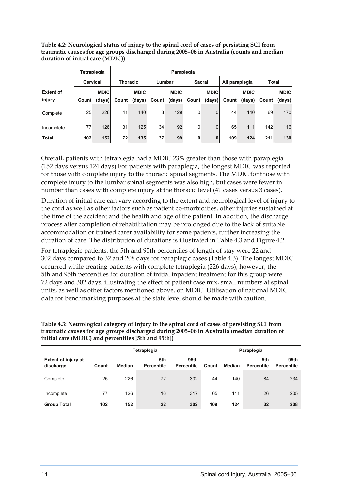<span id="page-24-0"></span>

| Table 4.2: Neurological status of injury to the spinal cord of cases of persisting SCI from |
|---------------------------------------------------------------------------------------------|
| traumatic causes for age groups discharged during 2005-06 in Australia (counts and median   |
| duration of initial care (MDIC))                                                            |

|                  |          | Tetraplegia | Paraplegia      |             |        |             |               |             |                |             |              |             |
|------------------|----------|-------------|-----------------|-------------|--------|-------------|---------------|-------------|----------------|-------------|--------------|-------------|
|                  | Cervical |             | <b>Thoracic</b> |             | Lumbar |             | <b>Sacral</b> |             | All paraplegia |             | <b>Total</b> |             |
| <b>Extent of</b> |          | <b>MDIC</b> |                 | <b>MDIC</b> |        | <b>MDIC</b> |               | <b>MDIC</b> |                | <b>MDIC</b> |              | <b>MDIC</b> |
| injury           | Count    | (days)      | Count           | (days)      | Count  | (days)      | Count         | (days)      | Count          | (days)      | Count        | (days)      |
| Complete         | 25       | 226         | 41              | 140         | 3      | 129         | 0             | 0           | 44             | 140         | 69           | 170         |
| Incomplete       | 77       | 126         | 31              | 125         | 34     | 92          | 0             | 0           | 65             | 111         | 142          | 116         |
| Total            | 102      | 152         | 72              | 135         | 37     | 99          | 0             | $\mathbf 0$ | 109            | 124         | 211          | 130         |

Overall, patients with tetraplegia had a MDIC 23% greater than those with paraplegia (152 days versus 124 days) For patients with paraplegia, the longest MDIC was reported for those with complete injury to the thoracic spinal segments. The MDIC for those with complete injury to the lumbar spinal segments was also high, but cases were fewer in number than cases with complete injury at the thoracic level (41 cases versus 3 cases).

Duration of initial care can vary according to the extent and neurological level of injury to the cord as well as other factors such as patient co-morbidities, other injuries sustained at the time of the accident and the health and age of the patient. In addition, the discharge process after completion of rehabilitation may be prolonged due to the lack of suitable accommodation or trained carer availability for some patients, further increasing the duration of care. The distribution of durations is illustrated in Table 4.3 and Figure 4.2.

For tetraplegic patients, the 5th and 95th percentiles of length of stay were 22 and 302 days compared to 32 and 208 days for paraplegic cases (Table 4.3). The longest MDIC occurred while treating patients with complete tetraplegia (226 days); however, the 5th and 95th percentiles for duration of initial inpatient treatment for this group were 72 days and 302 days, illustrating the effect of patient case mix, small numbers at spinal units, as well as other factors mentioned above, on MDIC. Utilisation of national MDIC data for benchmarking purposes at the state level should be made with caution.

**Table 4.3: Neurological category of injury to the spinal cord of cases of persisting SCI from traumatic causes for age groups discharged during 2005–06 in Australia (median duration of initial care (MDIC) and percentiles [5th and 95th])** 

|                                         |       |               | Tetraplegia              | Paraplegia                |       |        |                          |                           |
|-----------------------------------------|-------|---------------|--------------------------|---------------------------|-------|--------|--------------------------|---------------------------|
| <b>Extent of injury at</b><br>discharge | Count | <b>Median</b> | 5th<br><b>Percentile</b> | 95th<br><b>Percentile</b> | Count | Median | 5th<br><b>Percentile</b> | 95th<br><b>Percentile</b> |
| Complete                                | 25    | 226           | 72                       | 302                       | 44    | 140    | 84                       | 234                       |
| Incomplete                              | 77    | 126           | 16                       | 317                       | 65    | 111    | 26                       | 205                       |
| <b>Group Total</b>                      | 102   | 152           | 22                       | 302                       | 109   | 124    | 32                       | 208                       |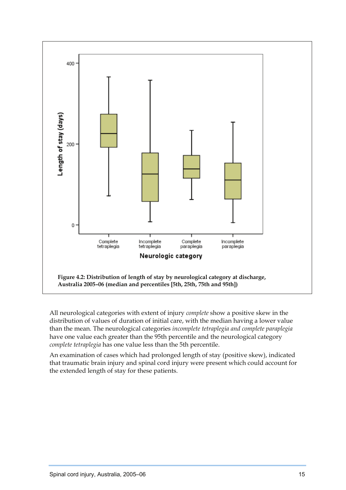<span id="page-25-0"></span>

All neurological categories with extent of injury *complete* show a positive skew in the distribution of values of duration of initial care, with the median having a lower value than the mean. The neurological categories *incomplete tetraplegia and complete paraplegia* have one value each greater than the 95th percentile and the neurological category *complete tetraplegia* has one value less than the 5th percentile.

An examination of cases which had prolonged length of stay (positive skew), indicated that traumatic brain injury and spinal cord injury were present which could account for the extended length of stay for these patients.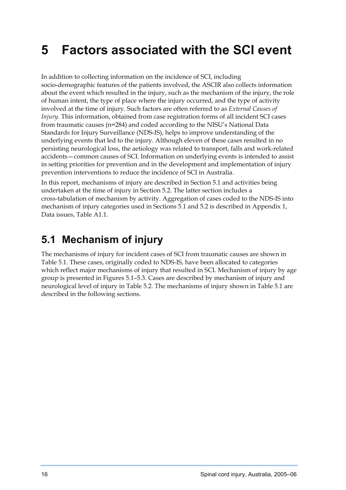## <span id="page-26-0"></span>**5 Factors associated with the SCI event**

In addition to collecting information on the incidence of SCI, including socio-demographic features of the patients involved, the ASCIR also collects information about the event which resulted in the injury, such as the mechanism of the injury, the role of human intent, the type of place where the injury occurred, and the type of activity involved at the time of injury. Such factors are often referred to as *External Causes of Injury*. This information, obtained from case registration forms of all incident SCI cases from traumatic causes (n=284) and coded according to the NISU's National Data Standards for Injury Surveillance (NDS-IS), helps to improve understanding of the underlying events that led to the injury. Although eleven of these cases resulted in no persisting neurological loss, the aetiology was related to transport, falls and work-related accidents—common causes of SCI. Information on underlying events is intended to assist in setting priorities for prevention and in the development and implementation of injury prevention interventions to reduce the incidence of SCI in Australia.

In this report, mechanisms of injury are described in Section 5.1 and activities being undertaken at the time of injury in Section 5.2. The latter section includes a cross-tabulation of mechanism by activity. Aggregation of cases coded to the NDS-IS into mechanism of injury categories used in Sections 5.1 and 5.2 is described in Appendix 1, Data issues, Table A1.1.

### **5.1 Mechanism of injury**

The mechanisms of injury for incident cases of SCI from traumatic causes are shown in Table 5.1. These cases, originally coded to NDS-IS, have been allocated to categories which reflect major mechanisms of injury that resulted in SCI. Mechanism of injury by age group is presented in Figures 5.1–5.3. Cases are described by mechanism of injury and neurological level of injury in Table 5.2. The mechanisms of injury shown in Table 5.1 are described in the following sections.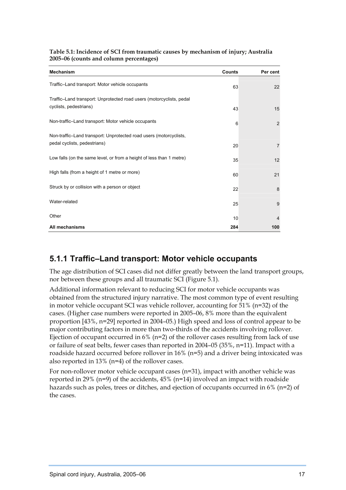<span id="page-27-0"></span>

| Table 5.1: Incidence of SCI from traumatic causes by mechanism of injury; Australia |  |
|-------------------------------------------------------------------------------------|--|
| 2005-06 (counts and column percentages)                                             |  |

| <b>Mechanism</b>                                                                                   | <b>Counts</b> | Per cent       |
|----------------------------------------------------------------------------------------------------|---------------|----------------|
| Traffic-Land transport: Motor vehicle occupants                                                    | 63            | 22             |
| Traffic-Land transport: Unprotected road users (motorcyclists, pedal<br>cyclists, pedestrians)     | 43            | 15             |
| Non-traffic-Land transport: Motor vehicle occupants                                                | 6             | 2              |
| Non-traffic-Land transport: Unprotected road users (motorcyclists,<br>pedal cyclists, pedestrians) | 20            | $\overline{7}$ |
| Low falls (on the same level, or from a height of less than 1 metre)                               | 35            | 12             |
| High falls (from a height of 1 metre or more)                                                      | 60            | 21             |
| Struck by or collision with a person or object                                                     | 22            | 8              |
| Water-related                                                                                      | 25            | 9              |
| Other                                                                                              | 10            | $\overline{4}$ |
| All mechanisms                                                                                     | 284           | 100            |

#### **5.1.1 Traffic–Land transport: Motor vehicle occupants**

The age distribution of SCI cases did not differ greatly between the land transport groups, nor between these groups and all traumatic SCI (Figure 5.1).

Additional information relevant to reducing SCI for motor vehicle occupants was obtained from the structured injury narrative. The most common type of event resulting in motor vehicle occupant SCI was vehicle rollover, accounting for 51% (n=32) of the cases. (Higher case numbers were reported in 2005–06, 8% more than the equivalent proportion [43%, n=29] reported in 2004–05.) High speed and loss of control appear to be major contributing factors in more than two-thirds of the accidents involving rollover. Ejection of occupant occurred in  $6\%$  (n=2) of the rollover cases resulting from lack of use or failure of seat belts, fewer cases than reported in 2004–05 (35%, n=11). Impact with a roadside hazard occurred before rollover in 16% (n=5) and a driver being intoxicated was also reported in 13% (n=4) of the rollover cases.

For non-rollover motor vehicle occupant cases (n=31), impact with another vehicle was reported in 29% (n=9) of the accidents, 45% (n=14) involved an impact with roadside hazards such as poles, trees or ditches, and ejection of occupants occurred in 6% (n=2) of the cases.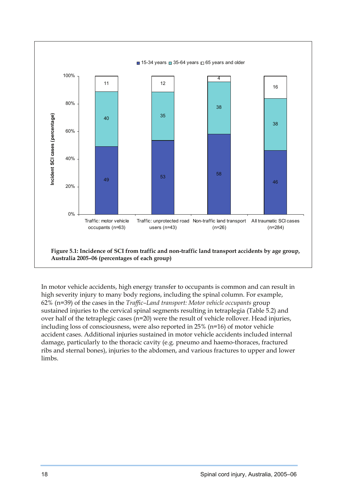<span id="page-28-0"></span>

In motor vehicle accidents, high energy transfer to occupants is common and can result in high severity injury to many body regions, including the spinal column. For example, 62% (n=39) of the cases in the *Traffic–Land transport: Motor vehicle occupants* group sustained injuries to the cervical spinal segments resulting in tetraplegia (Table 5.2) and over half of the tetraplegic cases (n=20) were the result of vehicle rollover. Head injuries, including loss of consciousness, were also reported in 25% (n=16) of motor vehicle accident cases. Additional injuries sustained in motor vehicle accidents included internal damage, particularly to the thoracic cavity (e.g. pneumo and haemo-thoraces, fractured ribs and sternal bones), injuries to the abdomen, and various fractures to upper and lower limbs.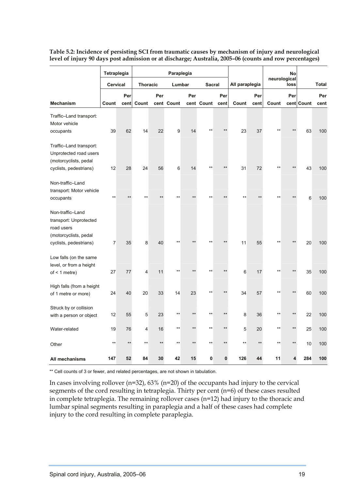|                                                                                                             | Tetraplegia<br><b>Cervical</b> |       | Paraplegia      |      |            |       |                 |       |                |      | <b>No</b>            |       |              |      |
|-------------------------------------------------------------------------------------------------------------|--------------------------------|-------|-----------------|------|------------|-------|-----------------|-------|----------------|------|----------------------|-------|--------------|------|
|                                                                                                             |                                |       | <b>Thoracic</b> |      | Lumbar     |       | <b>Sacral</b>   |       | All paraplegia |      | neurological<br>loss |       | <b>Total</b> |      |
|                                                                                                             |                                | Per   |                 | Per  |            | Per   |                 | Per   |                | Per  |                      | Per   |              | Per  |
| <b>Mechanism</b>                                                                                            | Count                          | cent  | Count           |      | cent Count |       | cent Count      | cent  | Count          | cent | Count                |       | cent Count   | cent |
| Traffic-Land transport:<br>Motor vehicle<br>occupants                                                       | 39                             | 62    | 14              | 22   | 9          | 14    |                 |       | 23             | 37   |                      |       | 63           | 100  |
| Traffic-Land transport:<br>Unprotected road users<br>(motorcyclists, pedal<br>cyclists, pedestrians)        | 12                             | 28    | 24              | 56   | 6          | 14    |                 |       | 31             | 72   |                      |       | 43           | 100  |
| Non-traffic-Land<br>transport: Motor vehicle<br>occupants                                                   | $+ +$                          |       |                 |      |            |       |                 |       |                |      |                      |       | 6            | 100  |
| Non-traffic-Land<br>transport: Unprotected<br>road users<br>(motorcyclists, pedal<br>cyclists, pedestrians) | $\overline{7}$                 | 35    | 8               | 40   |            |       |                 |       | 11             | 55   | **                   |       | 20           | 100  |
| Low falls (on the same<br>level, or from a height<br>of $\leq 1$ metre)                                     | 27                             | 77    | 4               | 11   | $\star$    |       |                 |       | 6              | 17   |                      |       | 35           | 100  |
| High falls (from a height<br>of 1 metre or more)                                                            | 24                             | 40    | 20              | 33   | 14         | 23    | $*$             | $***$ | 34             | 57   | $*$                  | $***$ | 60           | 100  |
| Struck by or collision<br>with a person or object                                                           | 12                             | 55    | 5               | 23   | $***$      | $***$ | $***$           |       | 8              | 36   | $***$                | $**$  | 22           | 100  |
| Water-related                                                                                               | 19                             | 76    | 4               | 16   | $***$      | $**$  | $^{\star\star}$ | $**$  | 5              | 20   | $***$                | $**$  | 25           | 100  |
| Other                                                                                                       | $***$                          | $+ +$ | **              | $**$ | $***$      |       |                 |       | $**$           | $**$ | **                   |       | 10           | 100  |
| All mechanisms                                                                                              | 147                            | 52    | 84              | 30   | 42         | 15    | 0               | 0     | 126            | 44   | 11                   |       | 284          | 100  |

<span id="page-29-0"></span>**Table 5.2: Incidence of persisting SCI from traumatic causes by mechanism of injury and neurological level of injury 90 days post admission or at discharge; Australia, 2005–06 (counts and row percentages)** 

\*\* Cell counts of 3 or fewer, and related percentages, are not shown in tabulation.

In cases involving rollover ( $n=32$ ), 63% ( $n=20$ ) of the occupants had injury to the cervical segments of the cord resulting in tetraplegia. Thirty per cent (n=6) of these cases resulted in complete tetraplegia. The remaining rollover cases (n=12) had injury to the thoracic and lumbar spinal segments resulting in paraplegia and a half of these cases had complete injury to the cord resulting in complete paraplegia.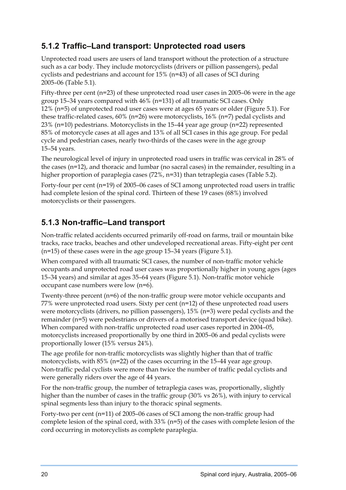### <span id="page-30-0"></span>**5.1.2 Traffic–Land transport: Unprotected road users**

Unprotected road users are users of land transport without the protection of a structure such as a car body. They include motorcyclists (drivers or pillion passengers), pedal cyclists and pedestrians and account for 15% (n=43) of all cases of SCI during 2005–06 (Table 5.1).

Fifty-three per cent (n=23) of these unprotected road user cases in 2005–06 were in the age group 15–34 years compared with 46% (n=131) of all traumatic SCI cases. Only 12% (n=5) of unprotected road user cases were at ages 65 years or older (Figure 5.1). For these traffic-related cases, 60% (n=26) were motorcyclists, 16% (n=7) pedal cyclists and 23% ( $n=10$ ) pedestrians. Motorcyclists in the 15–44 year age group ( $n=22$ ) represented 85% of motorcycle cases at all ages and 13% of all SCI cases in this age group. For pedal cycle and pedestrian cases, nearly two-thirds of the cases were in the age group 15–54 years.

The neurological level of injury in unprotected road users in traffic was cervical in 28% of the cases (n=12), and thoracic and lumbar (no sacral cases) in the remainder, resulting in a higher proportion of paraplegia cases (72%, n=31) than tetraplegia cases (Table 5.2).

Forty-four per cent (n=19) of 2005–06 cases of SCI among unprotected road users in traffic had complete lesion of the spinal cord. Thirteen of these 19 cases (68%) involved motorcyclists or their passengers.

### **5.1.3 Non-traffic–Land transport**

Non-traffic related accidents occurred primarily off-road on farms, trail or mountain bike tracks, race tracks, beaches and other undeveloped recreational areas. Fifty-eight per cent (n=15) of these cases were in the age group 15–34 years (Figure 5.1).

When compared with all traumatic SCI cases, the number of non-traffic motor vehicle occupants and unprotected road user cases was proportionally higher in young ages (ages 15–34 years) and similar at ages 35–64 years (Figure 5.1). Non-traffic motor vehicle occupant case numbers were low (n=6).

Twenty-three percent (n=6) of the non-traffic group were motor vehicle occupants and 77% were unprotected road users. Sixty per cent (n=12) of these unprotected road users were motorcyclists (drivers, no pillion passengers),  $15\%$  (n=3) were pedal cyclists and the remainder (n=5) were pedestrians or drivers of a motorised transport device (quad bike). When compared with non-traffic unprotected road user cases reported in 2004–05, motorcyclists increased proportionally by one third in 2005–06 and pedal cyclists were proportionally lower (15% versus 24%).

The age profile for non-traffic motorcyclists was slightly higher than that of traffic motorcyclists, with 85% (n=22) of the cases occurring in the 15–44 year age group. Non-traffic pedal cyclists were more than twice the number of traffic pedal cyclists and were generally riders over the age of 44 years.

For the non-traffic group, the number of tetraplegia cases was, proportionally, slightly higher than the number of cases in the traffic group (30% vs 26%), with injury to cervical spinal segments less than injury to the thoracic spinal segments.

Forty-two per cent (n=11) of 2005–06 cases of SCI among the non-traffic group had complete lesion of the spinal cord, with 33% (n=5) of the cases with complete lesion of the cord occurring in motorcyclists as complete paraplegia.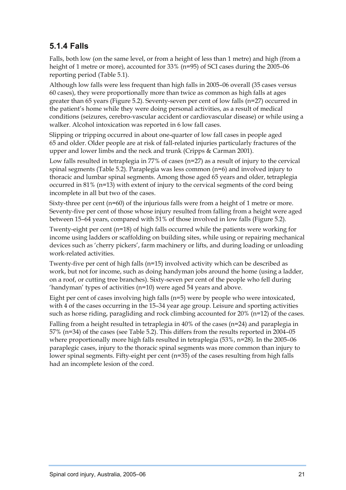### <span id="page-31-0"></span>**5.1.4 Falls**

Falls, both low (on the same level, or from a height of less than 1 metre) and high (from a height of 1 metre or more), accounted for 33% (n=95) of SCI cases during the 2005–06 reporting period (Table 5.1).

Although low falls were less frequent than high falls in 2005–06 overall (35 cases versus 60 cases), they were proportionally more than twice as common as high falls at ages greater than 65 years (Figure 5.2). Seventy-seven per cent of low falls (n=27) occurred in the patient's home while they were doing personal activities, as a result of medical conditions (seizures, cerebro-vascular accident or cardiovascular disease) or while using a walker. Alcohol intoxication was reported in 6 low fall cases.

Slipping or tripping occurred in about one-quarter of low fall cases in people aged 65 and older. Older people are at risk of fall-related injuries particularly fractures of the upper and lower limbs and the neck and trunk (Cripps & Carman 2001).

Low falls resulted in tetraplegia in 77% of cases (n=27) as a result of injury to the cervical spinal segments (Table 5.2). Paraplegia was less common (n=6) and involved injury to thoracic and lumbar spinal segments. Among those aged 65 years and older, tetraplegia occurred in 81% (n=13) with extent of injury to the cervical segments of the cord being incomplete in all but two of the cases.

Sixty-three per cent (n=60) of the injurious falls were from a height of 1 metre or more. Seventy-five per cent of those whose injury resulted from falling from a height were aged between 15–64 years, compared with 51% of those involved in low falls (Figure 5.2).

Twenty-eight per cent (n=18) of high falls occurred while the patients were working for income using ladders or scaffolding on building sites, while using or repairing mechanical devices such as 'cherry pickers', farm machinery or lifts, and during loading or unloading work-related activities.

Twenty-five per cent of high falls (n=15) involved activity which can be described as work, but not for income, such as doing handyman jobs around the home (using a ladder, on a roof, or cutting tree branches). Sixty-seven per cent of the people who fell during 'handyman' types of activities (n=10) were aged 54 years and above.

Eight per cent of cases involving high falls (n=5) were by people who were intoxicated, with 4 of the cases occurring in the 15–34 year age group. Leisure and sporting activities such as horse riding, paragliding and rock climbing accounted for 20% (n=12) of the cases.

Falling from a height resulted in tetraplegia in 40% of the cases (n=24) and paraplegia in 57% (n=34) of the cases (see Table 5.2). This differs from the results reported in 2004–05 where proportionally more high falls resulted in tetraplegia (53%, n=28). In the 2005–06 paraplegic cases, injury to the thoracic spinal segments was more common than injury to lower spinal segments. Fifty-eight per cent (n=35) of the cases resulting from high falls had an incomplete lesion of the cord.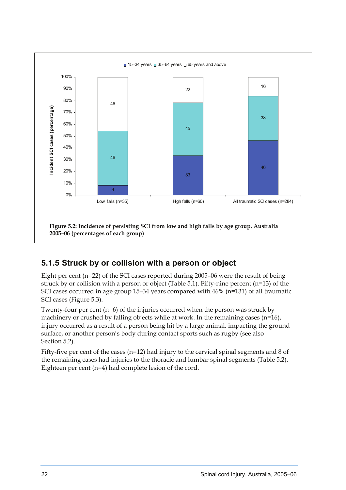<span id="page-32-0"></span>

### **5.1.5 Struck by or collision with a person or object**

Eight per cent (n=22) of the SCI cases reported during 2005–06 were the result of being struck by or collision with a person or object (Table 5.1). Fifty-nine percent (n=13) of the SCI cases occurred in age group 15–34 years compared with 46% (n=131) of all traumatic SCI cases (Figure 5.3).

Twenty-four per cent (n=6) of the injuries occurred when the person was struck by machinery or crushed by falling objects while at work. In the remaining cases (n=16), injury occurred as a result of a person being hit by a large animal, impacting the ground surface, or another person's body during contact sports such as rugby (see also Section 5.2).

Fifty-five per cent of the cases (n=12) had injury to the cervical spinal segments and 8 of the remaining cases had injuries to the thoracic and lumbar spinal segments (Table 5.2). Eighteen per cent (n=4) had complete lesion of the cord.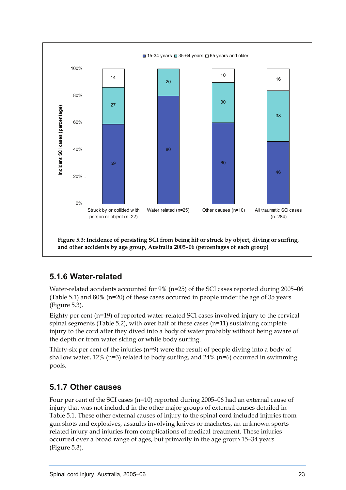<span id="page-33-0"></span>

### **5.1.6 Water-related**

Water-related accidents accounted for 9% (n=25) of the SCI cases reported during 2005–06 (Table 5.1) and 80% (n=20) of these cases occurred in people under the age of 35 years (Figure 5.3).

Eighty per cent (n=19) of reported water-related SCI cases involved injury to the cervical spinal segments (Table 5.2), with over half of these cases (n=11) sustaining complete injury to the cord after they dived into a body of water probably without being aware of the depth or from water skiing or while body surfing.

Thirty-six per cent of the injuries (n=9) were the result of people diving into a body of shallow water, 12% ( $n=3$ ) related to body surfing, and 24% ( $n=6$ ) occurred in swimming pools.

#### **5.1.7 Other causes**

Four per cent of the SCI cases (n=10) reported during 2005–06 had an external cause of injury that was not included in the other major groups of external causes detailed in Table 5.1. These other external causes of injury to the spinal cord included injuries from gun shots and explosives, assaults involving knives or machetes, an unknown sports related injury and injuries from complications of medical treatment. These injuries occurred over a broad range of ages, but primarily in the age group 15–34 years (Figure 5.3).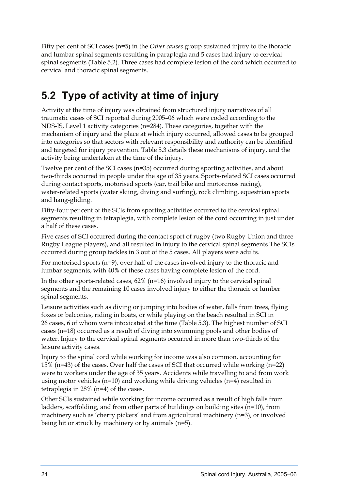<span id="page-34-0"></span>Fifty per cent of SCI cases (n=5) in the *Other causes* group sustained injury to the thoracic and lumbar spinal segments resulting in paraplegia and 5 cases had injury to cervical spinal segments (Table 5.2). Three cases had complete lesion of the cord which occurred to cervical and thoracic spinal segments.

### **5.2 Type of activity at time of injury**

Activity at the time of injury was obtained from structured injury narratives of all traumatic cases of SCI reported during 2005–06 which were coded according to the NDS-IS, Level 1 activity categories (n=284). These categories, together with the mechanism of injury and the place at which injury occurred, allowed cases to be grouped into categories so that sectors with relevant responsibility and authority can be identified and targeted for injury prevention. Table 5.3 details these mechanisms of injury, and the activity being undertaken at the time of the injury.

Twelve per cent of the SCI cases (n=35) occurred during sporting activities, and about two-thirds occurred in people under the age of 35 years. Sports-related SCI cases occurred during contact sports, motorised sports (car, trail bike and motorcross racing), water-related sports (water skiing, diving and surfing), rock climbing, equestrian sports and hang-gliding.

Fifty-four per cent of the SCIs from sporting activities occurred to the cervical spinal segments resulting in tetraplegia, with complete lesion of the cord occurring in just under a half of these cases.

Five cases of SCI occurred during the contact sport of rugby (two Rugby Union and three Rugby League players), and all resulted in injury to the cervical spinal segments The SCIs occurred during group tackles in 3 out of the 5 cases. All players were adults.

For motorised sports (n=9), over half of the cases involved injury to the thoracic and lumbar segments, with 40% of these cases having complete lesion of the cord.

In the other sports-related cases, 62% (n=16) involved injury to the cervical spinal segments and the remaining 10 cases involved injury to either the thoracic or lumber spinal segments.

Leisure activities such as diving or jumping into bodies of water, falls from trees, flying foxes or balconies, riding in boats, or while playing on the beach resulted in SCI in 26 cases, 6 of whom were intoxicated at the time (Table 5.3). The highest number of SCI cases (n=18) occurred as a result of diving into swimming pools and other bodies of water. Injury to the cervical spinal segments occurred in more than two-thirds of the leisure activity cases.

Injury to the spinal cord while working for income was also common, accounting for 15% ( $n=43$ ) of the cases. Over half the cases of SCI that occurred while working ( $n=22$ ) were to workers under the age of 35 years. Accidents while travelling to and from work using motor vehicles (n=10) and working while driving vehicles (n=4) resulted in tetraplegia in 28% (n=4) of the cases.

Other SCIs sustained while working for income occurred as a result of high falls from ladders, scaffolding, and from other parts of buildings on building sites (n=10), from machinery such as 'cherry pickers' and from agricultural machinery (n=3), or involved being hit or struck by machinery or by animals (n=5).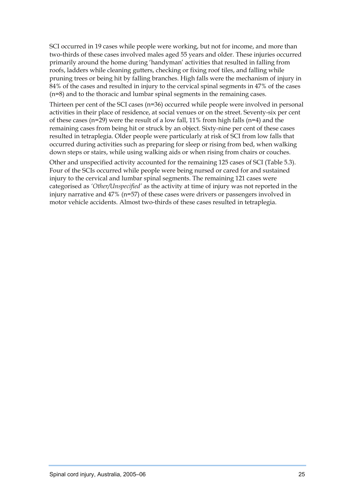SCI occurred in 19 cases while people were working, but not for income, and more than two-thirds of these cases involved males aged 55 years and older. These injuries occurred primarily around the home during 'handyman' activities that resulted in falling from roofs, ladders while cleaning gutters, checking or fixing roof tiles, and falling while pruning trees or being hit by falling branches. High falls were the mechanism of injury in 84% of the cases and resulted in injury to the cervical spinal segments in 47% of the cases (n=8) and to the thoracic and lumbar spinal segments in the remaining cases.

Thirteen per cent of the SCI cases (n=36) occurred while people were involved in personal activities in their place of residence, at social venues or on the street. Seventy-six per cent of these cases ( $n=29$ ) were the result of a low fall, 11% from high falls ( $n=4$ ) and the remaining cases from being hit or struck by an object. Sixty-nine per cent of these cases resulted in tetraplegia. Older people were particularly at risk of SCI from low falls that occurred during activities such as preparing for sleep or rising from bed, when walking down steps or stairs, while using walking aids or when rising from chairs or couches.

Other and unspecified activity accounted for the remaining 125 cases of SCI (Table 5.3). Four of the SCIs occurred while people were being nursed or cared for and sustained injury to the cervical and lumbar spinal segments. The remaining 121 cases were categorised as *'Other/Unspecified'* as the activity at time of injury was not reported in the injury narrative and 47% (n=57) of these cases were drivers or passengers involved in motor vehicle accidents. Almost two-thirds of these cases resulted in tetraplegia.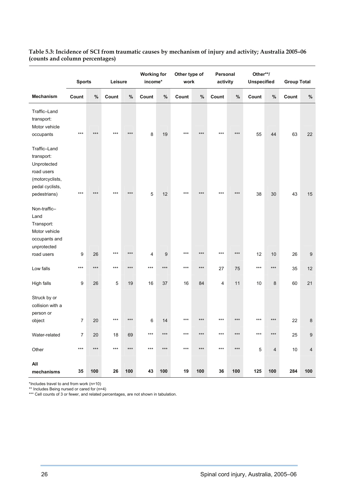|                                                                                               |                |       |         | <b>Working for</b> |         | Other type of |       | Personal |          | Other**/ |                    |       |                    |                  |
|-----------------------------------------------------------------------------------------------|----------------|-------|---------|--------------------|---------|---------------|-------|----------|----------|----------|--------------------|-------|--------------------|------------------|
|                                                                                               | <b>Sports</b>  |       | Leisure |                    | income* |               | work  |          | activity |          | <b>Unspecified</b> |       | <b>Group Total</b> |                  |
| <b>Mechanism</b>                                                                              | Count          | $\%$  | Count   | $\%$               | Count   | $\%$          | Count | $\%$     | Count    | $\%$     | Count              | $\%$  | Count              | %                |
| Traffic-Land<br>transport:<br>Motor vehicle                                                   |                |       |         |                    |         |               |       |          |          |          |                    |       |                    |                  |
| occupants                                                                                     | $***$          | $***$ | $***$   | $***$              | $\bf 8$ | 19            | ***   | $***$    | ***      | $***$    | 55                 | 44    | 63                 | 22               |
| Traffic-Land<br>transport:<br>Unprotected<br>road users<br>(motorcyclists,<br>pedal cyclists, |                |       |         |                    |         |               |       |          |          |          |                    |       |                    |                  |
| pedestrians)                                                                                  | $***$          | $***$ | $***$   | $***$              | 5       | 12            | $***$ | $***$    | $***$    | $***$    | 38                 | 30    | 43                 | 15               |
| Non-traffic-<br>Land<br>Transport:<br>Motor vehicle<br>occupants and<br>unprotected           |                |       |         |                    |         |               |       |          |          |          |                    |       |                    |                  |
| road users                                                                                    | 9              | 26    | $***$   | $***$              | 4       | 9             | $***$ | $***$    | $***$    | $***$    | 12                 | 10    | 26                 | $\boldsymbol{9}$ |
| Low falls                                                                                     | $***$          | ***   | $***$   | ***                | ***     | ***           | $***$ | $***$    | 27       | 75       | $***$              | $***$ | 35                 | 12               |
| High falls                                                                                    | 9              | 26    | 5       | 19                 | 16      | 37            | 16    | 84       | 4        | 11       | 10                 | 8     | 60                 | 21               |
| Struck by or<br>collision with a<br>person or                                                 |                |       |         |                    |         |               |       |          |          |          |                    |       |                    |                  |
| object                                                                                        | $\overline{7}$ | 20    | $***$   | ***                | 6       | 14            | $***$ | $***$    | $***$    | $***$    | $***$              | $***$ | 22                 | 8                |
| Water-related                                                                                 | $\overline{7}$ | 20    | 18      | 69                 | ***     | ***           | $***$ | $***$    | ***      | ***      | $***$              | $***$ | 25                 | $9\,$            |
| Other                                                                                         | $***$          | $***$ | $***$   | $***$              | $***$   | $***$         | $***$ | $***$    | $***$    | $***$    | 5                  | 4     | 10                 | $\overline{4}$   |
| All<br>mechanisms                                                                             | 35             | 100   | 26      | 100                | 43      | 100           | 19    | 100      | 36       | 100      | 125                | 100   | 284                | 100              |

#### <span id="page-36-0"></span>**Table 5.3: Incidence of SCI from traumatic causes by mechanism of injury and activity; Australia 2005–06 (counts and column percentages)**

\*Includes travel to and from work (n=10)

\*\* Includes Being nursed or cared for (n=4)

\*\*\* Cell counts of 3 or fewer, and related percentages, are not shown in tabulation.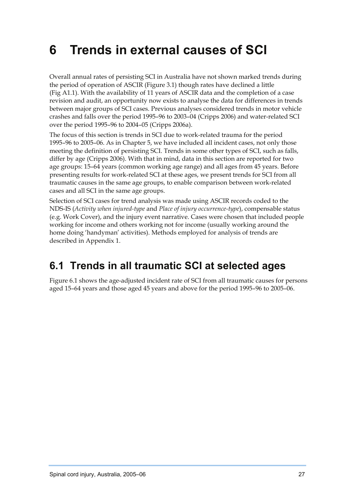# <span id="page-37-0"></span>**6 Trends in external causes of SCI**

Overall annual rates of persisting SCI in Australia have not shown marked trends during the period of operation of ASCIR (Figure 3.1) though rates have declined a little (Fig A1.1). With the availability of 11 years of ASCIR data and the completion of a case revision and audit, an opportunity now exists to analyse the data for differences in trends between major groups of SCI cases. Previous analyses considered trends in motor vehicle crashes and falls over the period 1995–96 to 2003–04 (Cripps 2006) and water-related SCI over the period 1995–96 to 2004–05 (Cripps 2006a).

The focus of this section is trends in SCI due to work-related trauma for the period 1995–96 to 2005–06. As in Chapter 5, we have included all incident cases, not only those meeting the definition of persisting SCI. Trends in some other types of SCI, such as falls, differ by age (Cripps 2006). With that in mind, data in this section are reported for two age groups: 15–64 years (common working age range) and all ages from 45 years. Before presenting results for work-related SCI at these ages, we present trends for SCI from all traumatic causes in the same age groups, to enable comparison between work-related cases and all SCI in the same age groups.

Selection of SCI cases for trend analysis was made using ASCIR records coded to the NDS-IS (*Activity when injured-type* and *Place of injury occurrence-type*), compensable status (e.g. Work Cover), and the injury event narrative. Cases were chosen that included people working for income and others working not for income (usually working around the home doing 'handyman' activities). Methods employed for analysis of trends are described in Appendix 1.

### **6.1 Trends in all traumatic SCI at selected ages**

Figure 6.1 shows the age-adjusted incident rate of SCI from all traumatic causes for persons aged 15–64 years and those aged 45 years and above for the period 1995–96 to 2005–06.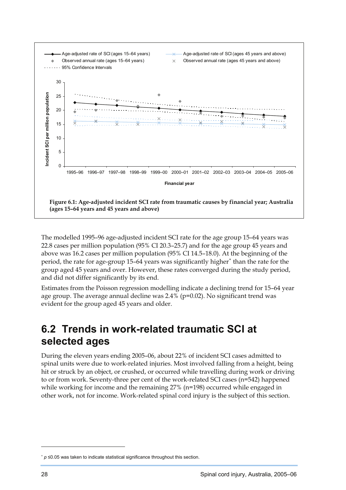<span id="page-38-0"></span>

The modelled 1995–96 age-adjusted incident SCI rate for the age group 15–64 years was 22.8 cases per million population (95% CI 20.3–25.7) and for the age group 45 years and above was 16.2 cases per million population (95% CI 14.5–18.0). At the beginning of the period, the rate for age-group 15-64 years was significantly higher<sup>\*</sup> than the rate for the group aged 45 years and over. However, these rates converged during the study period, and did not differ significantly by its end.

Estimates from the Poisson regression modelling indicate a declining trend for 15–64 year age group. The average annual decline was  $2.4\%$  (p=0.02). No significant trend was evident for the group aged 45 years and older.

### **6.2 Trends in work-related traumatic SCI at selected ages**

During the eleven years ending 2005–06, about 22% of incident SCI cases admitted to spinal units were due to work-related injuries. Most involved falling from a height, being hit or struck by an object, or crushed, or occurred while travelling during work or driving to or from work. Seventy-three per cent of the work-related SCI cases (n=542) happened while working for income and the remaining 27% (n=198) occurred while engaged in other work, not for income. Work-related spinal cord injury is the subject of this section.

 $\overline{a}$ 

<span id="page-38-1"></span><sup>∗</sup> *p* ≤0.05 was taken to indicate statistical significance throughout this section.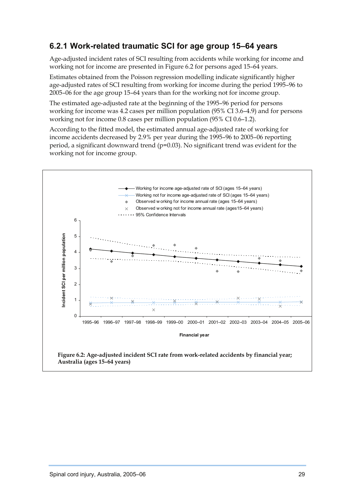#### <span id="page-39-0"></span>**6.2.1 Work-related traumatic SCI for age group 15–64 years**

Age-adjusted incident rates of SCI resulting from accidents while working for income and working not for income are presented in Figure 6.2 for persons aged 15–64 years.

Estimates obtained from the Poisson regression modelling indicate significantly higher age-adjusted rates of SCI resulting from working for income during the period 1995–96 to 2005–06 for the age group 15–64 years than for the working not for income group.

The estimated age-adjusted rate at the beginning of the 1995–96 period for persons working for income was 4.2 cases per million population (95% CI 3.6–4.9) and for persons working not for income 0.8 cases per million population (95% CI 0.6–1.2).

According to the fitted model, the estimated annual age-adjusted rate of working for income accidents decreased by 2.9% per year during the 1995–96 to 2005–06 reporting period, a significant downward trend (p=0.03). No significant trend was evident for the working not for income group.

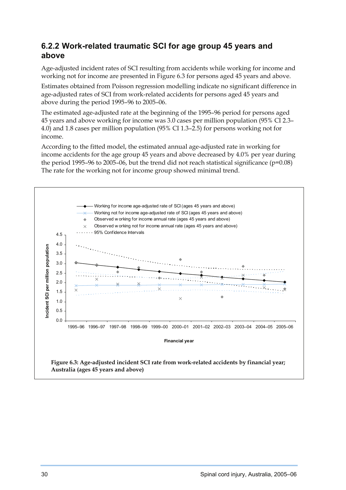#### <span id="page-40-0"></span>**6.2.2 Work-related traumatic SCI for age group 45 years and above**

Age-adjusted incident rates of SCI resulting from accidents while working for income and working not for income are presented in Figure 6.3 for persons aged 45 years and above.

Estimates obtained from Poisson regression modelling indicate no significant difference in age-adjusted rates of SCI from work-related accidents for persons aged 45 years and above during the period 1995–96 to 2005–06.

The estimated age-adjusted rate at the beginning of the 1995–96 period for persons aged 45 years and above working for income was 3.0 cases per million population (95% CI 2.3– 4.0) and 1.8 cases per million population (95% CI 1.3–2.5) for persons working not for income.

According to the fitted model, the estimated annual age-adjusted rate in working for income accidents for the age group 45 years and above decreased by 4.0% per year during the period 1995–96 to 2005–06, but the trend did not reach statistical significance ( $p=0.08$ ) The rate for the working not for income group showed minimal trend.

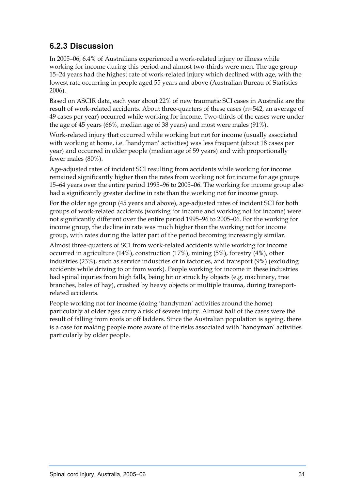### <span id="page-41-0"></span>**6.2.3 Discussion**

In 2005–06, 6.4% of Australians experienced a work-related injury or illness while working for income during this period and almost two-thirds were men. The age group 15–24 years had the highest rate of work-related injury which declined with age, with the lowest rate occurring in people aged 55 years and above (Australian Bureau of Statistics 2006).

Based on ASCIR data, each year about 22% of new traumatic SCI cases in Australia are the result of work-related accidents. About three-quarters of these cases (n=542, an average of 49 cases per year) occurred while working for income. Two-thirds of the cases were under the age of 45 years (66%, median age of 38 years) and most were males (91%).

Work-related injury that occurred while working but not for income (usually associated with working at home, i.e. 'handyman' activities) was less frequent (about 18 cases per year) and occurred in older people (median age of 59 years) and with proportionally fewer males (80%).

Age-adjusted rates of incident SCI resulting from accidents while working for income remained significantly higher than the rates from working not for income for age groups 15–64 years over the entire period 1995–96 to 2005–06. The working for income group also had a significantly greater decline in rate than the working not for income group.

For the older age group (45 years and above), age-adjusted rates of incident SCI for both groups of work-related accidents (working for income and working not for income) were not significantly different over the entire period 1995–96 to 2005–06. For the working for income group, the decline in rate was much higher than the working not for income group, with rates during the latter part of the period becoming increasingly similar.

Almost three-quarters of SCI from work-related accidents while working for income occurred in agriculture (14%), construction (17%), mining (5%), forestry (4%), other industries (23%), such as service industries or in factories, and transport (9%) (excluding accidents while driving to or from work). People working for income in these industries had spinal injuries from high falls, being hit or struck by objects (e.g. machinery, tree branches, bales of hay), crushed by heavy objects or multiple trauma, during transportrelated accidents.

People working not for income (doing 'handyman' activities around the home) particularly at older ages carry a risk of severe injury. Almost half of the cases were the result of falling from roofs or off ladders. Since the Australian population is ageing, there is a case for making people more aware of the risks associated with 'handyman' activities particularly by older people.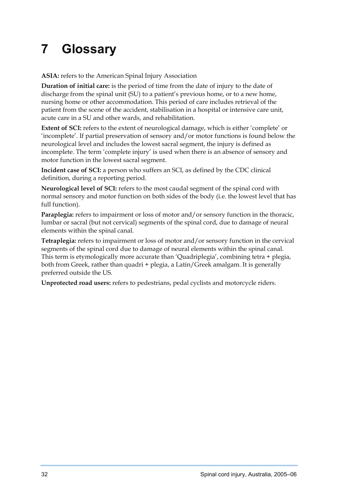# <span id="page-42-0"></span>**7 Glossary**

**ASIA:** refers to the American Spinal Injury Association

**Duration of initial care:** is the period of time from the date of injury to the date of discharge from the spinal unit (SU) to a patient's previous home, or to a new home, nursing home or other accommodation. This period of care includes retrieval of the patient from the scene of the accident, stabilisation in a hospital or intensive care unit, acute care in a SU and other wards, and rehabilitation.

**Extent of SCI:** refers to the extent of neurological damage, which is either 'complete' or 'incomplete'. If partial preservation of sensory and/or motor functions is found below the neurological level and includes the lowest sacral segment, the injury is defined as incomplete. The term 'complete injury' is used when there is an absence of sensory and motor function in the lowest sacral segment.

**Incident case of SCI:** a person who suffers an SCI, as defined by the CDC clinical definition, during a reporting period.

**Neurological level of SCI:** refers to the most caudal segment of the spinal cord with normal sensory and motor function on both sides of the body (i.e. the lowest level that has full function).

Paraplegia: refers to impairment or loss of motor and/or sensory function in the thoracic, lumbar or sacral (but not cervical) segments of the spinal cord, due to damage of neural elements within the spinal canal.

**Tetraplegia:** refers to impairment or loss of motor and/or sensory function in the cervical segments of the spinal cord due to damage of neural elements within the spinal canal. This term is etymologically more accurate than 'Quadriplegia', combining tetra + plegia, both from Greek, rather than quadri + plegia, a Latin/Greek amalgam. It is generally preferred outside the US.

**Unprotected road users:** refers to pedestrians, pedal cyclists and motorcycle riders.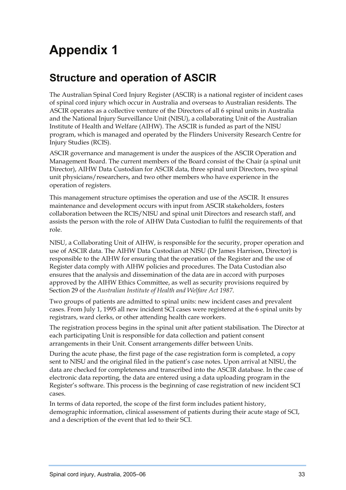# <span id="page-43-0"></span>**Appendix 1**

### **Structure and operation of ASCIR**

The Australian Spinal Cord Injury Register (ASCIR) is a national register of incident cases of spinal cord injury which occur in Australia and overseas to Australian residents. The ASCIR operates as a collective venture of the Directors of all 6 spinal units in Australia and the National Injury Surveillance Unit (NISU), a collaborating Unit of the Australian Institute of Health and Welfare (AIHW). The ASCIR is funded as part of the NISU program, which is managed and operated by the Flinders University Research Centre for Injury Studies (RCIS).

ASCIR governance and management is under the auspices of the ASCIR Operation and Management Board. The current members of the Board consist of the Chair (a spinal unit Director), AIHW Data Custodian for ASCIR data, three spinal unit Directors, two spinal unit physicians/researchers, and two other members who have experience in the operation of registers.

This management structure optimises the operation and use of the ASCIR. It ensures maintenance and development occurs with input from ASCIR stakeholders, fosters collaboration between the RCIS/NISU and spinal unit Directors and research staff, and assists the person with the role of AIHW Data Custodian to fulfil the requirements of that role.

NISU, a Collaborating Unit of AIHW, is responsible for the security, proper operation and use of ASCIR data. The AIHW Data Custodian at NISU (Dr James Harrison, Director) is responsible to the AIHW for ensuring that the operation of the Register and the use of Register data comply with AIHW policies and procedures. The Data Custodian also ensures that the analysis and dissemination of the data are in accord with purposes approved by the AIHW Ethics Committee, as well as security provisions required by Section 29 of the *Australian Institute of Health and Welfare Act 1987*.

Two groups of patients are admitted to spinal units: new incident cases and prevalent cases. From July 1, 1995 all new incident SCI cases were registered at the 6 spinal units by registrars, ward clerks, or other attending health care workers.

The registration process begins in the spinal unit after patient stabilisation. The Director at each participating Unit is responsible for data collection and patient consent arrangements in their Unit. Consent arrangements differ between Units.

During the acute phase, the first page of the case registration form is completed, a copy sent to NISU and the original filed in the patient's case notes. Upon arrival at NISU, the data are checked for completeness and transcribed into the ASCIR database. In the case of electronic data reporting, the data are entered using a data uploading program in the Register's software. This process is the beginning of case registration of new incident SCI cases.

In terms of data reported, the scope of the first form includes patient history, demographic information, clinical assessment of patients during their acute stage of SCI, and a description of the event that led to their SCI.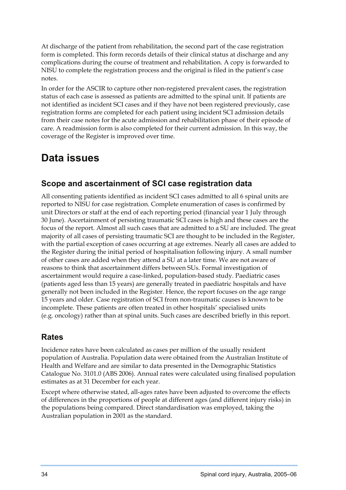<span id="page-44-0"></span>At discharge of the patient from rehabilitation, the second part of the case registration form is completed. This form records details of their clinical status at discharge and any complications during the course of treatment and rehabilitation. A copy is forwarded to NISU to complete the registration process and the original is filed in the patient's case notes.

In order for the ASCIR to capture other non-registered prevalent cases, the registration status of each case is assessed as patients are admitted to the spinal unit. If patients are not identified as incident SCI cases and if they have not been registered previously, case registration forms are completed for each patient using incident SCI admission details from their case notes for the acute admission and rehabilitation phase of their episode of care. A readmission form is also completed for their current admission. In this way, the coverage of the Register is improved over time.

### **Data issues**

#### **Scope and ascertainment of SCI case registration data**

All consenting patients identified as incident SCI cases admitted to all 6 spinal units are reported to NISU for case registration. Complete enumeration of cases is confirmed by unit Directors or staff at the end of each reporting period (financial year 1 July through 30 June). Ascertainment of persisting traumatic SCI cases is high and these cases are the focus of the report. Almost all such cases that are admitted to a SU are included. The great majority of all cases of persisting traumatic SCI are thought to be included in the Register, with the partial exception of cases occurring at age extremes. Nearly all cases are added to the Register during the initial period of hospitalisation following injury. A small number of other cases are added when they attend a SU at a later time. We are not aware of reasons to think that ascertainment differs between SUs. Formal investigation of ascertainment would require a case-linked, population-based study. Paediatric cases (patients aged less than 15 years) are generally treated in paediatric hospitals and have generally not been included in the Register. Hence, the report focuses on the age range 15 years and older. Case registration of SCI from non-traumatic causes is known to be incomplete. These patients are often treated in other hospitals' specialised units (e.g. oncology) rather than at spinal units. Such cases are described briefly in this report.

### **Rates**

Incidence rates have been calculated as cases per million of the usually resident population of Australia. Population data were obtained from the Australian Institute of Health and Welfare and are similar to data presented in the Demographic Statistics Catalogue No. 3101.0 (ABS 2006). Annual rates were calculated using finalised population estimates as at 31 December for each year.

Except where otherwise stated, all-ages rates have been adjusted to overcome the effects of differences in the proportions of people at different ages (and different injury risks) in the populations being compared. Direct standardisation was employed, taking the Australian population in 2001 as the standard.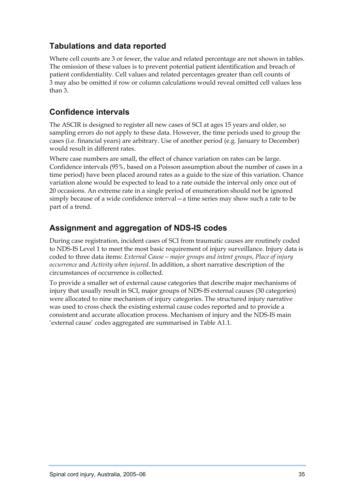#### <span id="page-45-0"></span>**Tabulations and data reported**

Where cell counts are 3 or fewer, the value and related percentage are not shown in tables. The omission of these values is to prevent potential patient identification and breach of patient confidentiality. Cell values and related percentages greater than cell counts of 3 may also be omitted if row or column calculations would reveal omitted cell values less than 3.

#### **Confidence intervals**

The ASCIR is designed to register all new cases of SCI at ages 15 years and older, so sampling errors do not apply to these data. However, the time periods used to group the cases (i.e. financial years) are arbitrary. Use of another period (e.g. January to December) would result in different rates.

Where case numbers are small, the effect of chance variation on rates can be large. Confidence intervals (95%, based on a Poisson assumption about the number of cases in a time period) have been placed around rates as a guide to the size of this variation. Chance variation alone would be expected to lead to a rate outside the interval only once out of 20 occasions. An extreme rate in a single period of enumeration should not be ignored simply because of a wide confidence interval—a time series may show such a rate to be part of a trend.

#### **Assignment and aggregation of NDS-IS codes**

During case registration, incident cases of SCI from traumatic causes are routinely coded to NDS-IS Level 1 to meet the most basic requirement of injury surveillance. Injury data is coded to three data items: *External Cause—major groups and intent groups*, *Place of injury occurrence* and *Activity when injured*. In addition, a short narrative description of the circumstances of occurrence is collected.

To provide a smaller set of external cause categories that describe major mechanisms of injury that usually result in SCI, major groups of NDS-IS external causes (30 categories) were allocated to nine mechanism of injury categories. The structured injury narrative was used to cross check the existing external cause codes reported and to provide a consistent and accurate allocation process. Mechanism of injury and the NDS-IS main 'external cause' codes aggregated are summarised in Table A1.1.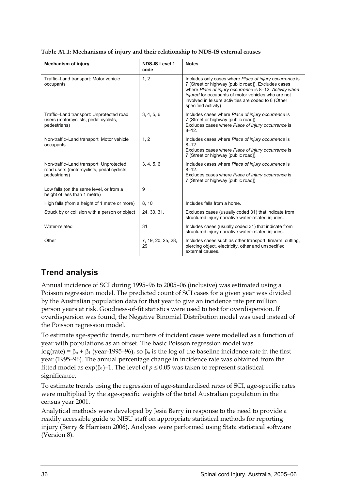| <b>Mechanism of injury</b>                                                                            | <b>NDS-IS Level 1</b><br>code | <b>Notes</b>                                                                                                                                                                                                                                                                                                    |
|-------------------------------------------------------------------------------------------------------|-------------------------------|-----------------------------------------------------------------------------------------------------------------------------------------------------------------------------------------------------------------------------------------------------------------------------------------------------------------|
| Traffic-Land transport: Motor vehicle<br>occupants                                                    | 1, 2                          | Includes only cases where Place of injury occurrence is<br>7 (Street or highway [public road]). Excludes cases<br>where Place of injury occurrence is 8-12. Activity when<br>injured for occupants of motor vehicles who are not<br>involved in leisure activities are coded to 8 (Other<br>specified activity) |
| Traffic-Land transport: Unprotected road<br>users (motorcyclists, pedal cyclists,<br>pedestrians)     | 3, 4, 5, 6                    | Includes cases where Place of injury occurrence is<br>7 (Street or highway [public road]).<br>Excludes cases where Place of injury occurrence is<br>$8 - 12$ .                                                                                                                                                  |
| Non-traffic-Land transport: Motor vehicle<br>occupants                                                | 1, 2                          | Includes cases where Place of injury occurrence is<br>$8 - 12$ .<br>Excludes cases where Place of injury occurrence is<br>7 (Street or highway [public road]).                                                                                                                                                  |
| Non-traffic-Land transport: Unprotected<br>road users (motorcyclists, pedal cyclists,<br>pedestrians) | 3, 4, 5, 6                    | Includes cases where Place of injury occurrence is<br>$8 - 12$ .<br>Excludes cases where Place of injury occurrence is<br>7 (Street or highway [public road]).                                                                                                                                                  |
| Low falls (on the same level, or from a<br>height of less than 1 metre)                               | 9                             |                                                                                                                                                                                                                                                                                                                 |
| High falls (from a height of 1 metre or more)                                                         | 8, 10                         | Includes falls from a horse.                                                                                                                                                                                                                                                                                    |
| Struck by or collision with a person or object                                                        | 24, 30, 31,                   | Excludes cases (usually coded 31) that indicate from<br>structured injury narrative water-related injuries.                                                                                                                                                                                                     |
| Water-related                                                                                         | 31                            | Includes cases (usually coded 31) that indicate from<br>structured injury narrative water-related injuries.                                                                                                                                                                                                     |
| Other                                                                                                 | 7, 19, 20, 25, 28,<br>29      | Includes cases such as other transport, firearm, cutting,<br>piercing object, electricity, other and unspecified<br>external causes.                                                                                                                                                                            |

#### <span id="page-46-0"></span>**Table A1.1: Mechanisms of injury and their relationship to NDS-IS external causes**

#### **Trend analysis**

Annual incidence of SCI during 1995–96 to 2005–06 (inclusive) was estimated using a Poisson regression model. The predicted count of SCI cases for a given year was divided by the Australian population data for that year to give an incidence rate per million person years at risk. Goodness-of-fit statistics were used to test for overdispersion. If overdispersion was found, the Negative Binomial Distribution model was used instead of the Poisson regression model.

To estimate age-specific trends, numbers of incident cases were modelled as a function of year with populations as an offset. The basic Poisson regression model was log(rate) =  $\beta_0$  +  $\beta_1$  (year-1995–96), so  $\beta_0$  is the log of the baseline incidence rate in the first year (1995–96). The annual percentage change in incidence rate was obtained from the fitted model as  $\exp(\beta_1)$ –1. The level of  $p \le 0.05$  was taken to represent statistical significance.

To estimate trends using the regression of age-standardised rates of SCI, age-specific rates were multiplied by the age-specific weights of the total Australian population in the census year 2001.

Analytical methods were developed by Jesia Berry in response to the need to provide a readily accessible guide to NISU staff on appropriate statistical methods for reporting injury (Berry & Harrison 2006). Analyses were performed using Stata statistical software (Version 8).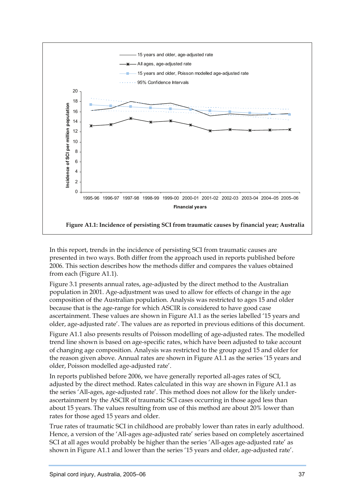<span id="page-47-0"></span>

In this report, trends in the incidence of persisting SCI from traumatic causes are presented in two ways. Both differ from the approach used in reports published before 2006. This section describes how the methods differ and compares the values obtained from each (Figure A1.1).

Figure 3.1 presents annual rates, age-adjusted by the direct method to the Australian population in 2001. Age-adjustment was used to allow for effects of change in the age composition of the Australian population. Analysis was restricted to ages 15 and older because that is the age-range for which ASCIR is considered to have good case ascertainment. These values are shown in Figure A1.1 as the series labelled '15 years and older, age-adjusted rate'. The values are as reported in previous editions of this document.

Figure A1.1 also presents results of Poisson modelling of age-adjusted rates. The modelled trend line shown is based on age-specific rates, which have been adjusted to take account of changing age composition. Analysis was restricted to the group aged 15 and older for the reason given above. Annual rates are shown in Figure A1.1 as the series '15 years and older, Poisson modelled age-adjusted rate'.

In reports published before 2006, we have generally reported all-ages rates of SCI, adjusted by the direct method. Rates calculated in this way are shown in Figure A1.1 as the series 'All-ages, age-adjusted rate'. This method does not allow for the likely underascertainment by the ASCIR of traumatic SCI cases occurring in those aged less than about 15 years. The values resulting from use of this method are about 20% lower than rates for those aged 15 years and older.

True rates of traumatic SCI in childhood are probably lower than rates in early adulthood. Hence, a version of the 'All-ages age-adjusted rate' series based on completely ascertained SCI at all ages would probably be higher than the series 'All-ages age-adjusted rate' as shown in Figure A1.1 and lower than the series '15 years and older, age-adjusted rate'.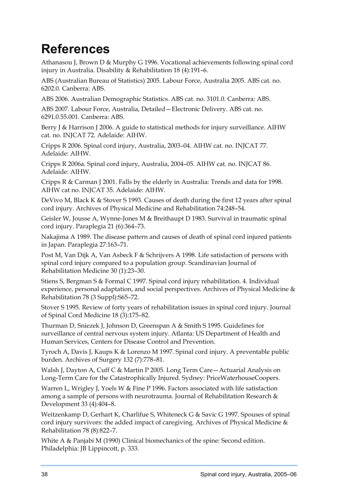# <span id="page-48-0"></span>**References**

Athanasou J, Brown D & Murphy G 1996. Vocational achievements following spinal cord injury in Australia. Disability & Rehabilitation 18 (4):191–6.

ABS (Australian Bureau of Statistics) 2005. Labour Force, Australia 2005. ABS cat. no. 6202.0. Canberra: ABS.

ABS 2006. Australian Demographic Statistics. ABS cat. no. 3101.0. Canberra: ABS.

ABS 2007. Labour Force, Australia, Detailed—Electronic Delivery. ABS cat. no. 6291.0.55.001. Canberra: ABS.

Berry J & Harrison J 2006. A guide to statistical methods for injury surveillance. AIHW cat. no. INJCAT 72. Adelaide: AIHW.

Cripps R 2006. Spinal cord injury, Australia, 2003–04. AIHW cat. no. INJCAT 77. Adelaide: AIHW.

Cripps R 2006a. Spinal cord injury, Australia, 2004–05. AIHW cat. no. INJCAT 86. Adelaide: AIHW.

Cripps R & Carman J 2001. Falls by the elderly in Australia: Trends and data for 1998. AIHW cat no. INJCAT 35. Adelaide: AIHW.

DeVivo M, Black K & Stover S 1993. Causes of death during the first 12 years after spinal cord injury. Archives of Physical Medicine and Rehabilitation 74:248–54.

Geisler W, Jousse A, Wynne-Jones M & Breithaupt D 1983. Survival in traumatic spinal cord injury. Paraplegia 21 (6):364–73.

Nakajima A 1989. The disease pattern and causes of death of spinal cord injured patients in Japan. Paraplegia 27:163–71.

Post M, Van Dijk A, Van Asbeck F & Schrijvers A 1998. Life satisfaction of persons with spinal cord injury compared to a population group. Scandinavian Journal of Rehabilitation Medicine 30 (1):23–30.

Stiens S, Bergman S & Formal C 1997. Spinal cord injury rehabilitation. 4. Individual experience, personal adaptation, and social perspectives. Archives of Physical Medicine & Rehabilitation 78 (3 Suppl):S65–72.

Stover S 1995. Review of forty years of rehabilitation issues in spinal cord injury. Journal of Spinal Cord Medicine 18 (3):175–82.

Thurman D, Sniezek J, Johnson D, Greenspan A & Smith S 1995. Guidelines for surveillance of central nervous system injury. Atlanta: US Department of Health and Human Services, Centers for Disease Control and Prevention.

Tyroch A, Davis J, Kaups K & Lorenzo M 1997. Spinal cord injury. A preventable public burden. Archives of Surgery 132 (7):778–81.

Walsh J, Dayton A, Cuff C & Martin P 2005. Long Term Care—Actuarial Analysis on Long-Term Care for the Catastrophically Injured. Sydney: PriceWaterhouseCoopers.

Warren L, Wrigley J, Yoels W & Fine P 1996. Factors associated with life satisfaction among a sample of persons with neurotrauma. Journal of Rehabilitation Research & Development 33 (4):404–8.

Weitzenkamp D, Gerhart K, Charlifue S, Whiteneck G & Savic G 1997. Spouses of spinal cord injury survivors: the added impact of caregiving. Archives of Physical Medicine & Rehabilitation 78 (8):822–7.

White A & Panjabi M (1990) Clinical biomechanics of the spine: Second edition. Philadelphia: JB Lippincott, p. 333.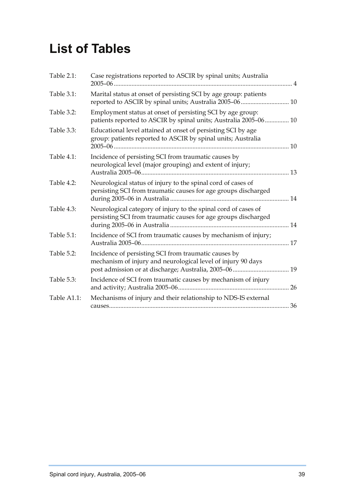# <span id="page-49-0"></span>**List of Tables**

| Table 2.1:  | Case registrations reported to ASCIR by spinal units; Australia                                                                  |  |
|-------------|----------------------------------------------------------------------------------------------------------------------------------|--|
| Table 3.1:  | Marital status at onset of persisting SCI by age group: patients                                                                 |  |
| Table 3.2:  | Employment status at onset of persisting SCI by age group:<br>patients reported to ASCIR by spinal units; Australia 2005-06 10   |  |
| Table 3.3:  | Educational level attained at onset of persisting SCI by age<br>group: patients reported to ASCIR by spinal units; Australia     |  |
| Table 4.1:  | Incidence of persisting SCI from traumatic causes by<br>neurological level (major grouping) and extent of injury;                |  |
| Table 4.2:  | Neurological status of injury to the spinal cord of cases of<br>persisting SCI from traumatic causes for age groups discharged   |  |
| Table 4.3:  | Neurological category of injury to the spinal cord of cases of<br>persisting SCI from traumatic causes for age groups discharged |  |
| Table 5.1:  | Incidence of SCI from traumatic causes by mechanism of injury;                                                                   |  |
| Table 5.2:  | Incidence of persisting SCI from traumatic causes by<br>mechanism of injury and neurological level of injury 90 days             |  |
| Table 5.3:  | Incidence of SCI from traumatic causes by mechanism of injury                                                                    |  |
| Table A1.1: | Mechanisms of injury and their relationship to NDS-IS external                                                                   |  |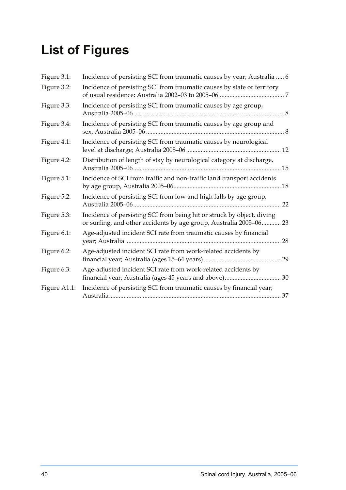# <span id="page-50-0"></span>**List of Figures**

| Figure 3.1:  | Incidence of persisting SCI from traumatic causes by year; Australia  6                                                                      |
|--------------|----------------------------------------------------------------------------------------------------------------------------------------------|
| Figure 3.2:  | Incidence of persisting SCI from traumatic causes by state or territory                                                                      |
| Figure 3.3:  | Incidence of persisting SCI from traumatic causes by age group,                                                                              |
| Figure 3.4:  | Incidence of persisting SCI from traumatic causes by age group and                                                                           |
| Figure 4.1:  | Incidence of persisting SCI from traumatic causes by neurological                                                                            |
| Figure 4.2:  | Distribution of length of stay by neurological category at discharge,                                                                        |
| Figure 5.1:  | Incidence of SCI from traffic and non-traffic land transport accidents                                                                       |
| Figure 5.2:  | Incidence of persisting SCI from low and high falls by age group,<br>22                                                                      |
| Figure 5.3:  | Incidence of persisting SCI from being hit or struck by object, diving<br>or surfing, and other accidents by age group, Australia 2005-06 23 |
| Figure 6.1:  | Age-adjusted incident SCI rate from traumatic causes by financial                                                                            |
| Figure 6.2:  | Age-adjusted incident SCI rate from work-related accidents by                                                                                |
| Figure 6.3:  | Age-adjusted incident SCI rate from work-related accidents by                                                                                |
| Figure A1.1: | Incidence of persisting SCI from traumatic causes by financial year;                                                                         |